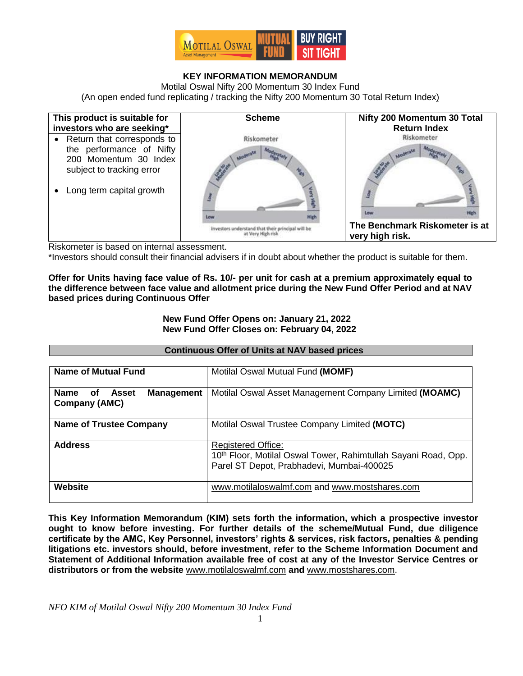

## **KEY INFORMATION MEMORANDUM**

Motilal Oswal Nifty 200 Momentum 30 Index Fund (An open ended fund replicating / tracking the Nifty 200 Momentum 30 Total Return Index)



Riskometer is based on internal assessment.

\*Investors should consult their financial advisers if in doubt about whether the product is suitable for them.

**Offer for Units having face value of Rs. 10/- per unit for cash at a premium approximately equal to the difference between face value and allotment price during the New Fund Offer Period and at NAV based prices during Continuous Offer**

### **New Fund Offer Opens on: January 21, 2022 New Fund Offer Closes on: February 04, 2022**

|                                                 | <b>Continuous Offer of Units at NAV based prices</b>                                                                                     |  |  |  |
|-------------------------------------------------|------------------------------------------------------------------------------------------------------------------------------------------|--|--|--|
|                                                 |                                                                                                                                          |  |  |  |
| <b>Name of Mutual Fund</b>                      | Motilal Oswal Mutual Fund (MOMF)                                                                                                         |  |  |  |
| <b>Management</b><br><b>Name</b><br>Asset<br>of | Motilal Oswal Asset Management Company Limited (MOAMC)                                                                                   |  |  |  |
| Company (AMC)                                   |                                                                                                                                          |  |  |  |
| <b>Name of Trustee Company</b>                  | Motilal Oswal Trustee Company Limited (MOTC)                                                                                             |  |  |  |
| <b>Address</b>                                  | <b>Registered Office:</b><br>10th Floor, Motilal Oswal Tower, Rahimtullah Sayani Road, Opp.<br>Parel ST Depot, Prabhadevi, Mumbai-400025 |  |  |  |
| <b>Website</b>                                  | www.motilaloswalmf.com and www.mostshares.com                                                                                            |  |  |  |

**This Key Information Memorandum (KIM) sets forth the information, which a prospective investor ought to know before investing. For further details of the scheme/Mutual Fund, due diligence certificate by the AMC, Key Personnel, investors' rights & services, risk factors, penalties & pending litigations etc. investors should, before investment, refer to the Scheme Information Document and Statement of Additional Information available free of cost at any of the Investor Service Centres or distributors or from the website** [www.motilaloswalmf.com](http://www.motilaloswal.com/assetmanagement) **and** [www.mostshares.com.](http://www.mostshares.com/)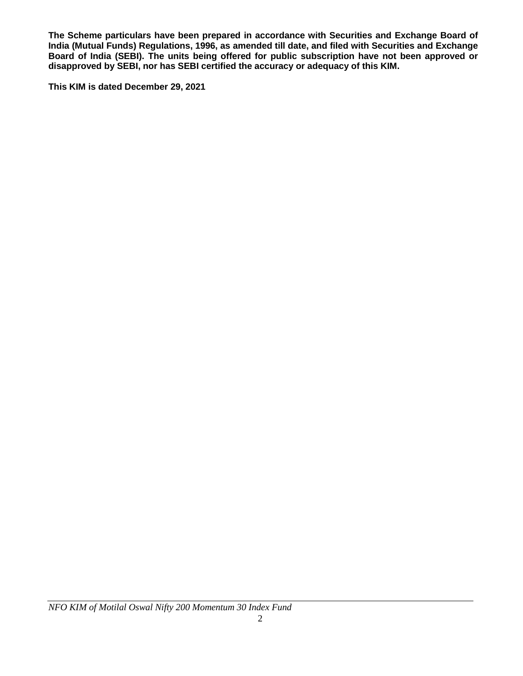**The Scheme particulars have been prepared in accordance with Securities and Exchange Board of India (Mutual Funds) Regulations, 1996, as amended till date, and filed with Securities and Exchange Board of India (SEBI). The units being offered for public subscription have not been approved or disapproved by SEBI, nor has SEBI certified the accuracy or adequacy of this KIM.** 

**This KIM is dated December 29, 2021**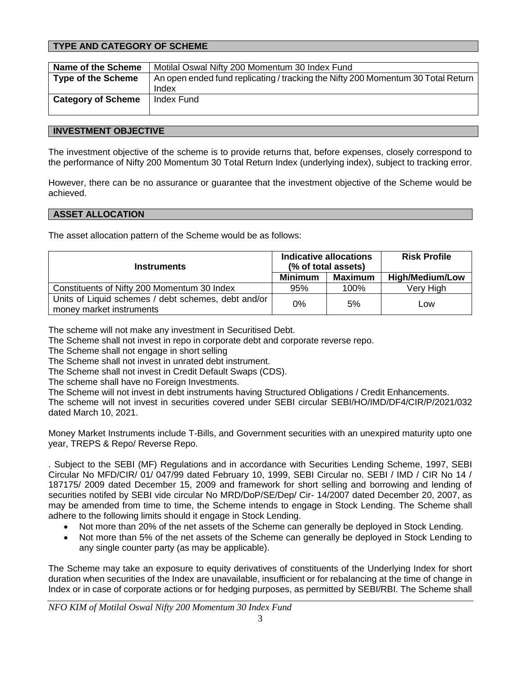## **TYPE AND CATEGORY OF SCHEME**

| Name of the Scheme        | Motilal Oswal Nifty 200 Momentum 30 Index Fund                                   |
|---------------------------|----------------------------------------------------------------------------------|
| <b>Type of the Scheme</b> | An open ended fund replicating / tracking the Nifty 200 Momentum 30 Total Return |
|                           | Index                                                                            |
| <b>Category of Scheme</b> | Index Fund                                                                       |
|                           |                                                                                  |

### **INVESTMENT OBJECTIVE**

The investment objective of the scheme is to provide returns that, before expenses, closely correspond to the performance of Nifty 200 Momentum 30 Total Return Index (underlying index), subject to tracking error.

However, there can be no assurance or guarantee that the investment objective of the Scheme would be achieved.

### **ASSET ALLOCATION**

The asset allocation pattern of the Scheme would be as follows:

| <b>Instruments</b>                                                              |                | <b>Indicative allocations</b><br>(% of total assets) | <b>Risk Profile</b>    |
|---------------------------------------------------------------------------------|----------------|------------------------------------------------------|------------------------|
|                                                                                 | <b>Minimum</b> | Maximum                                              | <b>High/Medium/Low</b> |
| Constituents of Nifty 200 Momentum 30 Index                                     | 95%            | 100%                                                 | Very High              |
| Units of Liquid schemes / debt schemes, debt and/or<br>money market instruments | 0%             | 5%                                                   | Low                    |

The scheme will not make any investment in Securitised Debt.

The Scheme shall not invest in repo in corporate debt and corporate reverse repo.

The Scheme shall not engage in short selling

The Scheme shall not invest in unrated debt instrument.

The Scheme shall not invest in Credit Default Swaps (CDS).

The scheme shall have no Foreign Investments.

The Scheme will not invest in debt instruments having Structured Obligations / Credit Enhancements.

The scheme will not invest in securities covered under SEBI circular SEBI/HO/IMD/DF4/CIR/P/2021/032 dated March 10, 2021.

Money Market Instruments include T-Bills, and Government securities with an unexpired maturity upto one year, TREPS & Repo/ Reverse Repo.

. Subject to the SEBI (MF) Regulations and in accordance with Securities Lending Scheme, 1997, SEBI Circular No MFD/CIR/ 01/ 047/99 dated February 10, 1999, SEBI Circular no. SEBI / IMD / CIR No 14 / 187175/ 2009 dated December 15, 2009 and framework for short selling and borrowing and lending of securities notifed by SEBI vide circular No MRD/DoP/SE/Dep/ Cir- 14/2007 dated December 20, 2007, as may be amended from time to time, the Scheme intends to engage in Stock Lending. The Scheme shall adhere to the following limits should it engage in Stock Lending.

- Not more than 20% of the net assets of the Scheme can generally be deployed in Stock Lending.
- Not more than 5% of the net assets of the Scheme can generally be deployed in Stock Lending to any single counter party (as may be applicable).

The Scheme may take an exposure to equity derivatives of constituents of the Underlying Index for short duration when securities of the Index are unavailable, insufficient or for rebalancing at the time of change in Index or in case of corporate actions or for hedging purposes, as permitted by SEBI/RBI. The Scheme shall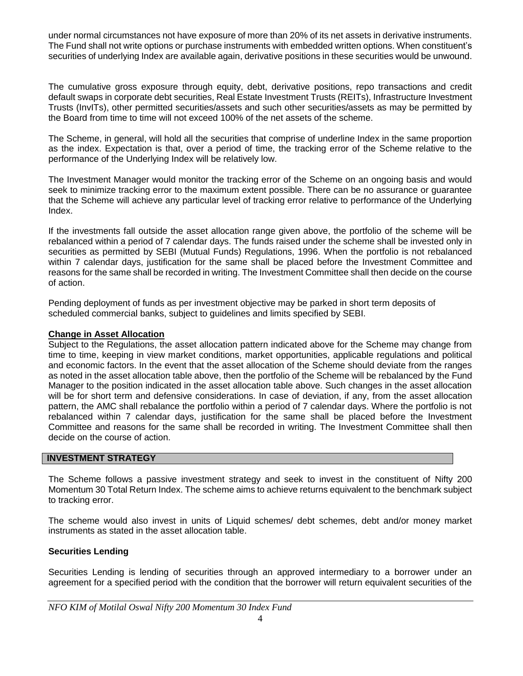under normal circumstances not have exposure of more than 20% of its net assets in derivative instruments. The Fund shall not write options or purchase instruments with embedded written options. When constituent's securities of underlying Index are available again, derivative positions in these securities would be unwound.

The cumulative gross exposure through equity, debt, derivative positions, repo transactions and credit default swaps in corporate debt securities, Real Estate Investment Trusts (REITs), Infrastructure Investment Trusts (InvITs), other permitted securities/assets and such other securities/assets as may be permitted by the Board from time to time will not exceed 100% of the net assets of the scheme.

The Scheme, in general, will hold all the securities that comprise of underline Index in the same proportion as the index. Expectation is that, over a period of time, the tracking error of the Scheme relative to the performance of the Underlying Index will be relatively low.

The Investment Manager would monitor the tracking error of the Scheme on an ongoing basis and would seek to minimize tracking error to the maximum extent possible. There can be no assurance or guarantee that the Scheme will achieve any particular level of tracking error relative to performance of the Underlying Index.

If the investments fall outside the asset allocation range given above, the portfolio of the scheme will be rebalanced within a period of 7 calendar days. The funds raised under the scheme shall be invested only in securities as permitted by SEBI (Mutual Funds) Regulations, 1996. When the portfolio is not rebalanced within 7 calendar days, justification for the same shall be placed before the Investment Committee and reasons for the same shall be recorded in writing. The Investment Committee shall then decide on the course of action.

Pending deployment of funds as per investment objective may be parked in short term deposits of scheduled commercial banks, subject to guidelines and limits specified by SEBI.

### **Change in Asset Allocation**

Subject to the Regulations, the asset allocation pattern indicated above for the Scheme may change from time to time, keeping in view market conditions, market opportunities, applicable regulations and political and economic factors. In the event that the asset allocation of the Scheme should deviate from the ranges as noted in the asset allocation table above, then the portfolio of the Scheme will be rebalanced by the Fund Manager to the position indicated in the asset allocation table above. Such changes in the asset allocation will be for short term and defensive considerations. In case of deviation, if any, from the asset allocation pattern, the AMC shall rebalance the portfolio within a period of 7 calendar days. Where the portfolio is not rebalanced within 7 calendar days, justification for the same shall be placed before the Investment Committee and reasons for the same shall be recorded in writing. The Investment Committee shall then decide on the course of action.

### **INVESTMENT STRATEGY**

The Scheme follows a passive investment strategy and seek to invest in the constituent of Nifty 200 Momentum 30 Total Return Index. The scheme aims to achieve returns equivalent to the benchmark subject to tracking error.

The scheme would also invest in units of Liquid schemes/ debt schemes, debt and/or money market instruments as stated in the asset allocation table.

### **Securities Lending**

Securities Lending is lending of securities through an approved intermediary to a borrower under an agreement for a specified period with the condition that the borrower will return equivalent securities of the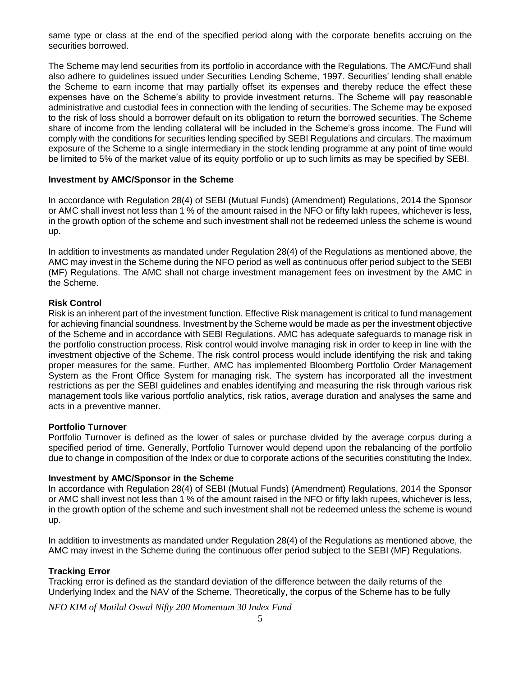same type or class at the end of the specified period along with the corporate benefits accruing on the securities borrowed.

The Scheme may lend securities from its portfolio in accordance with the Regulations. The AMC/Fund shall also adhere to guidelines issued under Securities Lending Scheme, 1997. Securities' lending shall enable the Scheme to earn income that may partially offset its expenses and thereby reduce the effect these expenses have on the Scheme's ability to provide investment returns. The Scheme will pay reasonable administrative and custodial fees in connection with the lending of securities. The Scheme may be exposed to the risk of loss should a borrower default on its obligation to return the borrowed securities. The Scheme share of income from the lending collateral will be included in the Scheme's gross income. The Fund will comply with the conditions for securities lending specified by SEBI Regulations and circulars. The maximum exposure of the Scheme to a single intermediary in the stock lending programme at any point of time would be limited to 5% of the market value of its equity portfolio or up to such limits as may be specified by SEBI.

### **Investment by AMC/Sponsor in the Scheme**

In accordance with Regulation 28(4) of SEBI (Mutual Funds) (Amendment) Regulations, 2014 the Sponsor or AMC shall invest not less than 1 % of the amount raised in the NFO or fifty lakh rupees, whichever is less, in the growth option of the scheme and such investment shall not be redeemed unless the scheme is wound up.

In addition to investments as mandated under Regulation 28(4) of the Regulations as mentioned above, the AMC may invest in the Scheme during the NFO period as well as continuous offer period subject to the SEBI (MF) Regulations. The AMC shall not charge investment management fees on investment by the AMC in the Scheme.

### **Risk Control**

Risk is an inherent part of the investment function. Effective Risk management is critical to fund management for achieving financial soundness. Investment by the Scheme would be made as per the investment objective of the Scheme and in accordance with SEBI Regulations. AMC has adequate safeguards to manage risk in the portfolio construction process. Risk control would involve managing risk in order to keep in line with the investment objective of the Scheme. The risk control process would include identifying the risk and taking proper measures for the same. Further, AMC has implemented Bloomberg Portfolio Order Management System as the Front Office System for managing risk. The system has incorporated all the investment restrictions as per the SEBI guidelines and enables identifying and measuring the risk through various risk management tools like various portfolio analytics, risk ratios, average duration and analyses the same and acts in a preventive manner.

### **Portfolio Turnover**

Portfolio Turnover is defined as the lower of sales or purchase divided by the average corpus during a specified period of time. Generally, Portfolio Turnover would depend upon the rebalancing of the portfolio due to change in composition of the Index or due to corporate actions of the securities constituting the Index.

### **Investment by AMC/Sponsor in the Scheme**

In accordance with Regulation 28(4) of SEBI (Mutual Funds) (Amendment) Regulations, 2014 the Sponsor or AMC shall invest not less than 1 % of the amount raised in the NFO or fifty lakh rupees, whichever is less, in the growth option of the scheme and such investment shall not be redeemed unless the scheme is wound up.

In addition to investments as mandated under Regulation 28(4) of the Regulations as mentioned above, the AMC may invest in the Scheme during the continuous offer period subject to the SEBI (MF) Regulations.

# **Tracking Error**

Tracking error is defined as the standard deviation of the difference between the daily returns of the Underlying Index and the NAV of the Scheme. Theoretically, the corpus of the Scheme has to be fully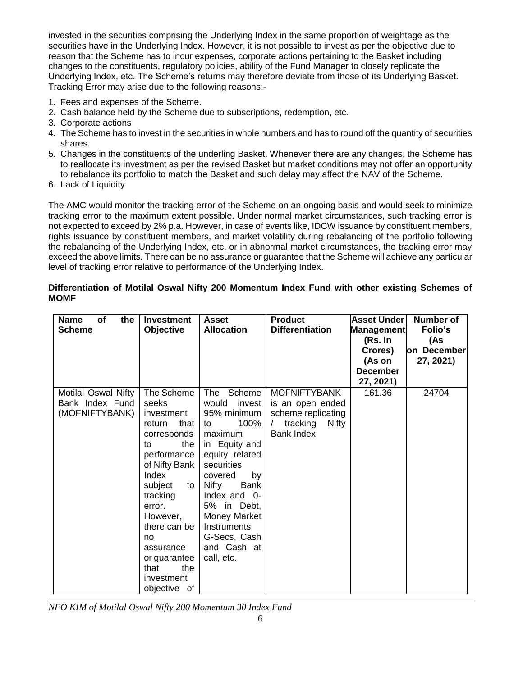invested in the securities comprising the Underlying Index in the same proportion of weightage as the securities have in the Underlying Index. However, it is not possible to invest as per the objective due to reason that the Scheme has to incur expenses, corporate actions pertaining to the Basket including changes to the constituents, regulatory policies, ability of the Fund Manager to closely replicate the Underlying Index, etc. The Scheme's returns may therefore deviate from those of its Underlying Basket. Tracking Error may arise due to the following reasons:-

- 1. Fees and expenses of the Scheme.
- 2. Cash balance held by the Scheme due to subscriptions, redemption, etc.
- 3. Corporate actions
- 4. The Scheme has to invest in the securities in whole numbers and has to round off the quantity of securities shares.
- 5. Changes in the constituents of the underling Basket. Whenever there are any changes, the Scheme has to reallocate its investment as per the revised Basket but market conditions may not offer an opportunity to rebalance its portfolio to match the Basket and such delay may affect the NAV of the Scheme.
- 6. Lack of Liquidity

The AMC would monitor the tracking error of the Scheme on an ongoing basis and would seek to minimize tracking error to the maximum extent possible. Under normal market circumstances, such tracking error is not expected to exceed by 2% p.a. However, in case of events like, IDCW issuance by constituent members, rights issuance by constituent members, and market volatility during rebalancing of the portfolio following the rebalancing of the Underlying Index, etc. or in abnormal market circumstances, the tracking error may exceed the above limits. There can be no assurance or guarantee that the Scheme will achieve any particular level of tracking error relative to performance of the Underlying Index.

### **Differentiation of Motilal Oswal Nifty 200 Momentum Index Fund with other existing Schemes of MOMF**

| <b>Name</b><br><b>of</b><br>the<br><b>Scheme</b>         | <b>Investment</b><br><b>Objective</b>                                                                                                                                                                                                                                         | <b>Asset</b><br><b>Allocation</b>                                                                                                                                                                                                                                 | <b>Product</b><br><b>Differentiation</b>                                                         | <b>Asset Under</b><br><b>Management</b>                      | <b>Number of</b><br>Folio's     |
|----------------------------------------------------------|-------------------------------------------------------------------------------------------------------------------------------------------------------------------------------------------------------------------------------------------------------------------------------|-------------------------------------------------------------------------------------------------------------------------------------------------------------------------------------------------------------------------------------------------------------------|--------------------------------------------------------------------------------------------------|--------------------------------------------------------------|---------------------------------|
|                                                          |                                                                                                                                                                                                                                                                               |                                                                                                                                                                                                                                                                   |                                                                                                  | (Rs. In<br>Crores)<br>(As on<br><b>December</b><br>27, 2021) | (As<br>on December<br>27, 2021) |
| Motilal Oswal Nifty<br>Bank Index Fund<br>(MOFNIFTYBANK) | The Scheme<br>seeks<br>investment<br>that<br>return<br>corresponds<br>the<br>to<br>performance<br>of Nifty Bank<br>Index<br>subject<br>to I<br>tracking<br>error.<br>However,<br>there can be<br>no<br>assurance<br>or guarantee<br>the<br>that<br>investment<br>objective of | The Scheme<br>would invest<br>95% minimum<br>100%<br>to<br>maximum<br>in Equity and<br>equity related<br>securities<br>by<br>covered<br>Bank<br>Nifty<br>Index and 0-<br>5% in Debt,<br>Money Market<br>Instruments,<br>G-Secs, Cash<br>and Cash at<br>call, etc. | <b>MOFNIFTYBANK</b><br>is an open ended<br>scheme replicating<br>tracking<br>Nifty<br>Bank Index | 161.36                                                       | 24704                           |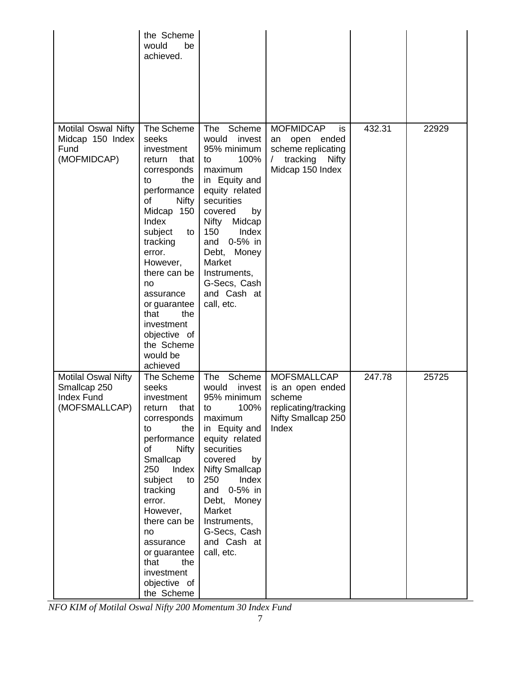|                                                                                  | the Scheme<br>would<br>be<br>achieved.                                                                                                                                                                                                                                                                                               |                                                                                                                                                                                                                                                                                       |                                                                                                                                |        |       |
|----------------------------------------------------------------------------------|--------------------------------------------------------------------------------------------------------------------------------------------------------------------------------------------------------------------------------------------------------------------------------------------------------------------------------------|---------------------------------------------------------------------------------------------------------------------------------------------------------------------------------------------------------------------------------------------------------------------------------------|--------------------------------------------------------------------------------------------------------------------------------|--------|-------|
| Motilal Oswal Nifty<br>Midcap 150 Index<br>Fund<br>(MOFMIDCAP)                   | The Scheme<br>seeks<br>investment<br>return<br>that<br>corresponds<br>to<br>the<br>performance<br>of<br><b>Nifty</b><br>Midcap 150<br>Index<br>subject<br>to<br>tracking<br>error.<br>However,<br>there can be<br>no<br>assurance<br>or guarantee<br>that<br>the<br>investment<br>objective of<br>the Scheme<br>would be<br>achieved | Scheme<br>The<br>would invest<br>95% minimum<br>100%<br>to<br>maximum<br>in Equity and<br>equity related<br>securities<br>covered<br>by<br>Nifty<br>Midcap<br>150<br>Index<br>0-5% in<br>and<br>Debt, Money<br>Market<br>Instruments,<br>G-Secs, Cash<br>and Cash at<br>call, etc.    | <b>MOFMIDCAP</b><br>is<br>open ended<br>an<br>scheme replicating<br>$\sqrt{2}$<br>tracking<br><b>Nifty</b><br>Midcap 150 Index | 432.31 | 22929 |
| <b>Motilal Oswal Nifty</b><br>Smallcap 250<br><b>Index Fund</b><br>(MOFSMALLCAP) | The Scheme<br>seeks<br>investment<br>return<br>that I to<br>corresponds<br>the<br>to<br>performance<br><b>Nifty</b><br>of<br>Smallcap<br>250<br>Index<br>subject<br>to<br>tracking<br>error.<br>However,<br>there can be<br>no<br>assurance<br>or guarantee<br>that<br>the<br>investment<br>objective of<br>the Scheme               | The<br>Scheme<br>would<br>invest<br>95% minimum<br>100%<br>maximum<br>in Equity and<br>equity related<br>securities<br>covered<br>by<br><b>Nifty Smallcap</b><br>250<br>Index<br>and<br>0-5% in<br>Debt, Money<br>Market<br>Instruments,<br>G-Secs, Cash<br>and Cash at<br>call, etc. | <b>MOFSMALLCAP</b><br>is an open ended<br>scheme<br>replicating/tracking<br>Nifty Smallcap 250<br>Index                        | 247.78 | 25725 |

*NFO KIM of Motilal Oswal Nifty 200 Momentum 30 Index Fund*

 $\overline{\phantom{0}}$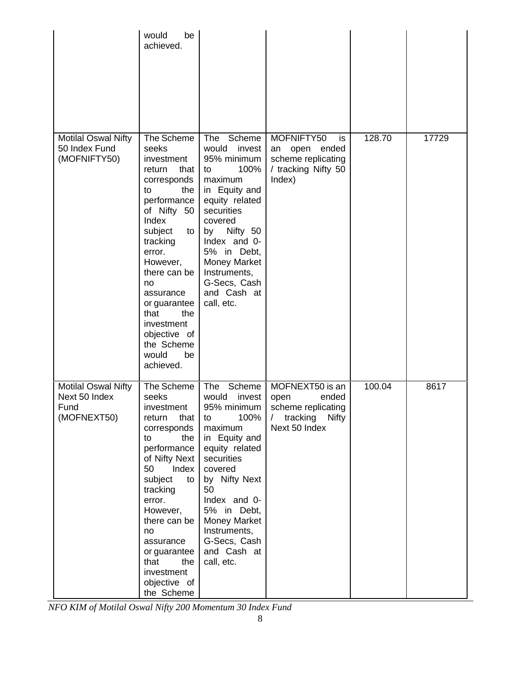|                                                                    | would<br>be<br>achieved.                                                                                                                                                                                                                                                                                              |                                                                                                                                                                                                                                                                         |                                                                                                                   |        |       |
|--------------------------------------------------------------------|-----------------------------------------------------------------------------------------------------------------------------------------------------------------------------------------------------------------------------------------------------------------------------------------------------------------------|-------------------------------------------------------------------------------------------------------------------------------------------------------------------------------------------------------------------------------------------------------------------------|-------------------------------------------------------------------------------------------------------------------|--------|-------|
| <b>Motilal Oswal Nifty</b><br>50 Index Fund<br>(MOFNIFTY50)        | The Scheme<br>seeks<br>investment<br>that<br>return<br>corresponds<br>to<br>the l<br>performance<br>of Nifty 50<br>Index<br>subject<br>to<br>tracking<br>error.<br>However,<br>there can be<br>no<br>assurance<br>or guarantee<br>that<br>the<br>investment<br>objective of<br>the Scheme<br>would<br>be<br>achieved. | The Scheme<br>would<br>invest<br>95% minimum<br>100%<br>to<br>maximum<br>in Equity and<br>equity related<br>securities<br>covered<br>by Nifty 50<br>Index and 0-<br>5% in Debt,<br>Money Market<br>Instruments,<br>G-Secs, Cash<br>and Cash at<br>call, etc.            | MOFNIFTY50<br>is<br>an<br>open ended<br>scheme replicating<br>/ tracking Nifty 50<br>Index)                       | 128.70 | 17729 |
| <b>Motilal Oswal Nifty</b><br>Next 50 Index<br>Fund<br>(MOFNEXT50) | The Scheme<br>seeks<br>investment<br>that<br>return<br>corresponds<br>the<br>to<br>performance<br>of Nifty Next<br>50<br>Index<br>subject<br>to<br>tracking<br>error.<br>However,<br>there can be<br>no<br>assurance<br>or guarantee<br>that<br>the<br>investment<br>objective of<br>the Scheme                       | The<br>Scheme<br>would<br>invest<br>95% minimum<br>100%<br>to<br>maximum<br>in Equity and<br>equity related<br>securities<br>covered<br>by Nifty Next<br>50<br>Index and 0-<br>5% in Debt,<br>Money Market<br>Instruments,<br>G-Secs, Cash<br>and Cash at<br>call, etc. | MOFNEXT50 is an<br>open<br>ended<br>scheme replicating<br>tracking<br><b>Nifty</b><br>$\sqrt{2}$<br>Next 50 Index | 100.04 | 8617  |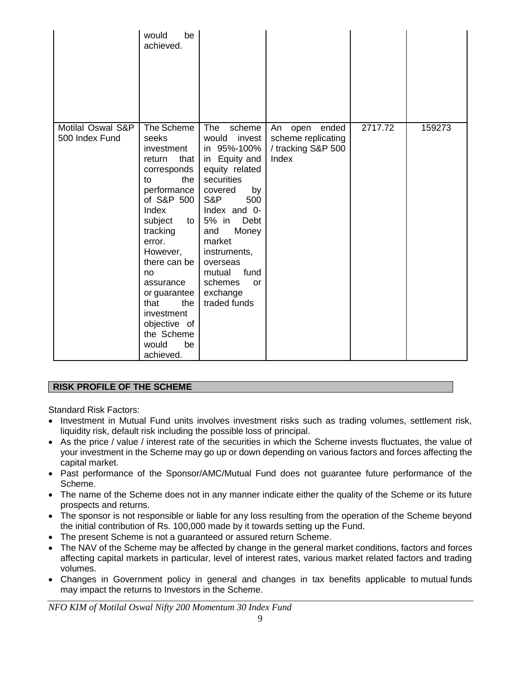|                                     | would<br>be<br>achieved.                                                                                                                                                                                                                                                                                           |                                                                                                                                                                                                                                                                                                     |                                                                          |         |        |
|-------------------------------------|--------------------------------------------------------------------------------------------------------------------------------------------------------------------------------------------------------------------------------------------------------------------------------------------------------------------|-----------------------------------------------------------------------------------------------------------------------------------------------------------------------------------------------------------------------------------------------------------------------------------------------------|--------------------------------------------------------------------------|---------|--------|
| Motilal Oswal S&P<br>500 Index Fund | The Scheme<br>seeks<br>investment<br>that<br>return<br>corresponds<br>the<br>to<br>performance<br>of S&P 500<br>Index<br>subject<br>to<br>tracking<br>error.<br>However,<br>there can be<br>no<br>assurance<br>or guarantee<br>the<br>that<br>investment<br>objective of<br>the Scheme<br>be<br>would<br>achieved. | <b>The</b><br>scheme<br>invest<br>would<br>in 95%-100%<br>in Equity and<br>equity related<br>securities<br>covered<br>by<br>S&P<br>500<br>Index and 0-<br>5% in<br>Debt<br>Money<br>and<br>market<br>instruments,<br>overseas<br>fund<br>mutual<br>schemes<br><b>or</b><br>exchange<br>traded funds | ended<br>An<br>open<br>scheme replicating<br>/ tracking S&P 500<br>Index | 2717.72 | 159273 |

# **RISK PROFILE OF THE SCHEME**

Standard Risk Factors:

- Investment in Mutual Fund units involves investment risks such as trading volumes, settlement risk, liquidity risk, default risk including the possible loss of principal.
- As the price / value / interest rate of the securities in which the Scheme invests fluctuates, the value of your investment in the Scheme may go up or down depending on various factors and forces affecting the capital market.
- Past performance of the Sponsor/AMC/Mutual Fund does not guarantee future performance of the Scheme.
- The name of the Scheme does not in any manner indicate either the quality of the Scheme or its future prospects and returns.
- The sponsor is not responsible or liable for any loss resulting from the operation of the Scheme beyond the initial contribution of Rs. 100,000 made by it towards setting up the Fund.
- The present Scheme is not a guaranteed or assured return Scheme.
- The NAV of the Scheme may be affected by change in the general market conditions, factors and forces affecting capital markets in particular, level of interest rates, various market related factors and trading volumes.
- Changes in Government policy in general and changes in tax benefits applicable to mutual funds may impact the returns to Investors in the Scheme.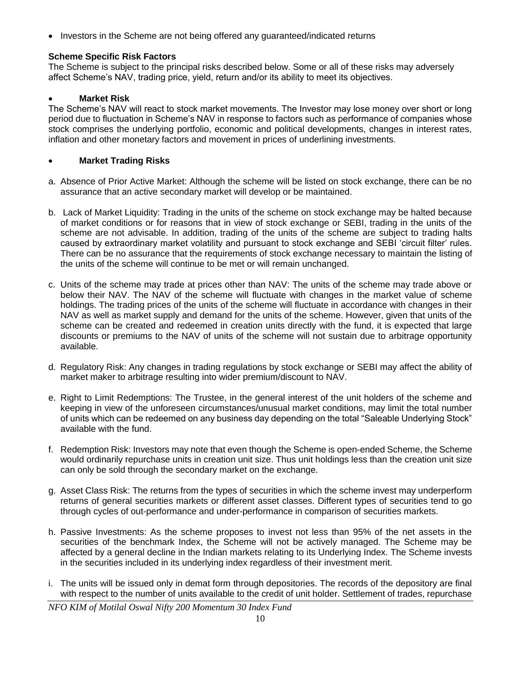• Investors in the Scheme are not being offered any guaranteed/indicated returns

# **Scheme Specific Risk Factors**

The Scheme is subject to the principal risks described below. Some or all of these risks may adversely affect Scheme's NAV, trading price, yield, return and/or its ability to meet its objectives.

### **Market Risk**

The Scheme's NAV will react to stock market movements. The Investor may lose money over short or long period due to fluctuation in Scheme's NAV in response to factors such as performance of companies whose stock comprises the underlying portfolio, economic and political developments, changes in interest rates, inflation and other monetary factors and movement in prices of underlining investments.

### **Market Trading Risks**

- a. Absence of Prior Active Market: Although the scheme will be listed on stock exchange, there can be no assurance that an active secondary market will develop or be maintained.
- b. Lack of Market Liquidity: Trading in the units of the scheme on stock exchange may be halted because of market conditions or for reasons that in view of stock exchange or SEBI, trading in the units of the scheme are not advisable. In addition, trading of the units of the scheme are subject to trading halts caused by extraordinary market volatility and pursuant to stock exchange and SEBI 'circuit filter' rules. There can be no assurance that the requirements of stock exchange necessary to maintain the listing of the units of the scheme will continue to be met or will remain unchanged.
- c. Units of the scheme may trade at prices other than NAV: The units of the scheme may trade above or below their NAV. The NAV of the scheme will fluctuate with changes in the market value of scheme holdings. The trading prices of the units of the scheme will fluctuate in accordance with changes in their NAV as well as market supply and demand for the units of the scheme. However, given that units of the scheme can be created and redeemed in creation units directly with the fund, it is expected that large discounts or premiums to the NAV of units of the scheme will not sustain due to arbitrage opportunity available.
- d. Regulatory Risk: Any changes in trading regulations by stock exchange or SEBI may affect the ability of market maker to arbitrage resulting into wider premium/discount to NAV.
- e. Right to Limit Redemptions: The Trustee, in the general interest of the unit holders of the scheme and keeping in view of the unforeseen circumstances/unusual market conditions, may limit the total number of units which can be redeemed on any business day depending on the total "Saleable Underlying Stock" available with the fund.
- f. Redemption Risk: Investors may note that even though the Scheme is open-ended Scheme, the Scheme would ordinarily repurchase units in creation unit size. Thus unit holdings less than the creation unit size can only be sold through the secondary market on the exchange.
- g. Asset Class Risk: The returns from the types of securities in which the scheme invest may underperform returns of general securities markets or different asset classes. Different types of securities tend to go through cycles of out-performance and under-performance in comparison of securities markets.
- h. Passive Investments: As the scheme proposes to invest not less than 95% of the net assets in the securities of the benchmark Index, the Scheme will not be actively managed. The Scheme may be affected by a general decline in the Indian markets relating to its Underlying Index. The Scheme invests in the securities included in its underlying index regardless of their investment merit.
- i. The units will be issued only in demat form through depositories. The records of the depository are final with respect to the number of units available to the credit of unit holder. Settlement of trades, repurchase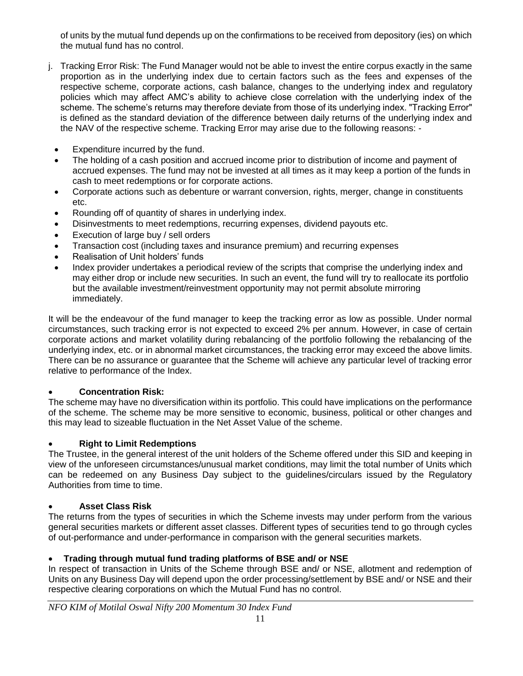of units by the mutual fund depends up on the confirmations to be received from depository (ies) on which the mutual fund has no control.

- j. Tracking Error Risk: The Fund Manager would not be able to invest the entire corpus exactly in the same proportion as in the underlying index due to certain factors such as the fees and expenses of the respective scheme, corporate actions, cash balance, changes to the underlying index and regulatory policies which may affect AMC's ability to achieve close correlation with the underlying index of the scheme. The scheme's returns may therefore deviate from those of its underlying index. "Tracking Error" is defined as the standard deviation of the difference between daily returns of the underlying index and the NAV of the respective scheme. Tracking Error may arise due to the following reasons: -
	- Expenditure incurred by the fund.
	- The holding of a cash position and accrued income prior to distribution of income and payment of accrued expenses. The fund may not be invested at all times as it may keep a portion of the funds in cash to meet redemptions or for corporate actions.
	- Corporate actions such as debenture or warrant conversion, rights, merger, change in constituents etc.
	- Rounding off of quantity of shares in underlying index.
	- Disinvestments to meet redemptions, recurring expenses, dividend payouts etc.
	- Execution of large buy / sell orders
	- Transaction cost (including taxes and insurance premium) and recurring expenses
	- Realisation of Unit holders' funds
	- Index provider undertakes a periodical review of the scripts that comprise the underlying index and may either drop or include new securities. In such an event, the fund will try to reallocate its portfolio but the available investment/reinvestment opportunity may not permit absolute mirroring immediately.

It will be the endeavour of the fund manager to keep the tracking error as low as possible. Under normal circumstances, such tracking error is not expected to exceed 2% per annum. However, in case of certain corporate actions and market volatility during rebalancing of the portfolio following the rebalancing of the underlying index, etc. or in abnormal market circumstances, the tracking error may exceed the above limits. There can be no assurance or guarantee that the Scheme will achieve any particular level of tracking error relative to performance of the Index.

# **Concentration Risk:**

The scheme may have no diversification within its portfolio. This could have implications on the performance of the scheme. The scheme may be more sensitive to economic, business, political or other changes and this may lead to sizeable fluctuation in the Net Asset Value of the scheme.

# **Right to Limit Redemptions**

The Trustee, in the general interest of the unit holders of the Scheme offered under this SID and keeping in view of the unforeseen circumstances/unusual market conditions, may limit the total number of Units which can be redeemed on any Business Day subject to the guidelines/circulars issued by the Regulatory Authorities from time to time.

# **Asset Class Risk**

The returns from the types of securities in which the Scheme invests may under perform from the various general securities markets or different asset classes. Different types of securities tend to go through cycles of out-performance and under-performance in comparison with the general securities markets.

# **Trading through mutual fund trading platforms of BSE and/ or NSE**

In respect of transaction in Units of the Scheme through BSE and/ or NSE, allotment and redemption of Units on any Business Day will depend upon the order processing/settlement by BSE and/ or NSE and their respective clearing corporations on which the Mutual Fund has no control.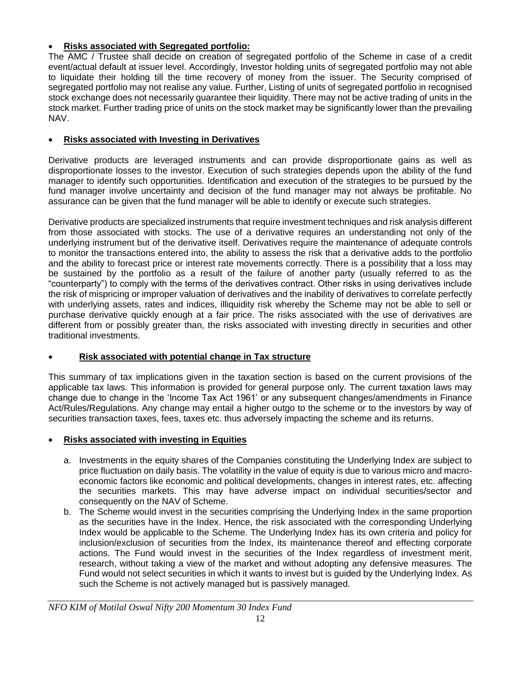# **Risks associated with Segregated portfolio:**

The AMC / Trustee shall decide on creation of segregated portfolio of the Scheme in case of a credit event/actual default at issuer level. Accordingly, Investor holding units of segregated portfolio may not able to liquidate their holding till the time recovery of money from the issuer. The Security comprised of segregated portfolio may not realise any value. Further, Listing of units of segregated portfolio in recognised stock exchange does not necessarily guarantee their liquidity. There may not be active trading of units in the stock market. Further trading price of units on the stock market may be significantly lower than the prevailing NAV.

# **Risks associated with Investing in Derivatives**

Derivative products are leveraged instruments and can provide disproportionate gains as well as disproportionate losses to the investor. Execution of such strategies depends upon the ability of the fund manager to identify such opportunities. Identification and execution of the strategies to be pursued by the fund manager involve uncertainty and decision of the fund manager may not always be profitable. No assurance can be given that the fund manager will be able to identify or execute such strategies.

Derivative products are specialized instruments that require investment techniques and risk analysis different from those associated with stocks. The use of a derivative requires an understanding not only of the underlying instrument but of the derivative itself. Derivatives require the maintenance of adequate controls to monitor the transactions entered into, the ability to assess the risk that a derivative adds to the portfolio and the ability to forecast price or interest rate movements correctly. There is a possibility that a loss may be sustained by the portfolio as a result of the failure of another party (usually referred to as the "counterparty") to comply with the terms of the derivatives contract. Other risks in using derivatives include the risk of mispricing or improper valuation of derivatives and the inability of derivatives to correlate perfectly with underlying assets, rates and indices, illiquidity risk whereby the Scheme may not be able to sell or purchase derivative quickly enough at a fair price. The risks associated with the use of derivatives are different from or possibly greater than, the risks associated with investing directly in securities and other traditional investments.

# **Risk associated with potential change in Tax structure**

This summary of tax implications given in the taxation section is based on the current provisions of the applicable tax laws. This information is provided for general purpose only. The current taxation laws may change due to change in the 'Income Tax Act 1961' or any subsequent changes/amendments in Finance Act/Rules/Regulations. Any change may entail a higher outgo to the scheme or to the investors by way of securities transaction taxes, fees, taxes etc. thus adversely impacting the scheme and its returns.

# **Risks associated with investing in Equities**

- a. Investments in the equity shares of the Companies constituting the Underlying Index are subject to price fluctuation on daily basis. The volatility in the value of equity is due to various micro and macroeconomic factors like economic and political developments, changes in interest rates, etc. affecting the securities markets. This may have adverse impact on individual securities/sector and consequently on the NAV of Scheme.
- b. The Scheme would invest in the securities comprising the Underlying Index in the same proportion as the securities have in the Index. Hence, the risk associated with the corresponding Underlying Index would be applicable to the Scheme. The Underlying Index has its own criteria and policy for inclusion/exclusion of securities from the Index, its maintenance thereof and effecting corporate actions. The Fund would invest in the securities of the Index regardless of investment merit, research, without taking a view of the market and without adopting any defensive measures. The Fund would not select securities in which it wants to invest but is guided by the Underlying Index. As such the Scheme is not actively managed but is passively managed.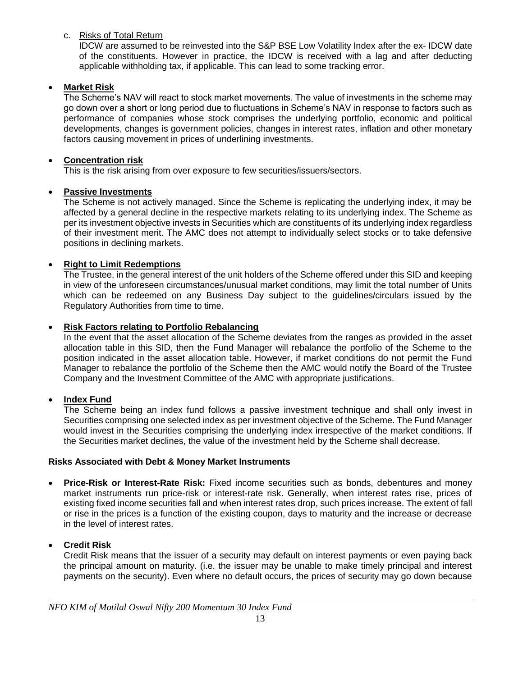# c. Risks of Total Return

IDCW are assumed to be reinvested into the S&P BSE Low Volatility Index after the ex- IDCW date of the constituents. However in practice, the IDCW is received with a lag and after deducting applicable withholding tax, if applicable. This can lead to some tracking error.

# **Market Risk**

The Scheme's NAV will react to stock market movements. The value of investments in the scheme may go down over a short or long period due to fluctuations in Scheme's NAV in response to factors such as performance of companies whose stock comprises the underlying portfolio, economic and political developments, changes is government policies, changes in interest rates, inflation and other monetary factors causing movement in prices of underlining investments.

# **Concentration risk**

This is the risk arising from over exposure to few securities/issuers/sectors.

# **Passive Investments**

The Scheme is not actively managed. Since the Scheme is replicating the underlying index, it may be affected by a general decline in the respective markets relating to its underlying index. The Scheme as per its investment objective invests in Securities which are constituents of its underlying index regardless of their investment merit. The AMC does not attempt to individually select stocks or to take defensive positions in declining markets.

# **Right to Limit Redemptions**

The Trustee, in the general interest of the unit holders of the Scheme offered under this SID and keeping in view of the unforeseen circumstances/unusual market conditions, may limit the total number of Units which can be redeemed on any Business Day subject to the guidelines/circulars issued by the Regulatory Authorities from time to time.

# **Risk Factors relating to Portfolio Rebalancing**

In the event that the asset allocation of the Scheme deviates from the ranges as provided in the asset allocation table in this SID, then the Fund Manager will rebalance the portfolio of the Scheme to the position indicated in the asset allocation table. However, if market conditions do not permit the Fund Manager to rebalance the portfolio of the Scheme then the AMC would notify the Board of the Trustee Company and the Investment Committee of the AMC with appropriate justifications.

# **Index Fund**

The Scheme being an index fund follows a passive investment technique and shall only invest in Securities comprising one selected index as per investment objective of the Scheme. The Fund Manager would invest in the Securities comprising the underlying index irrespective of the market conditions. If the Securities market declines, the value of the investment held by the Scheme shall decrease.

# **Risks Associated with Debt & Money Market Instruments**

 **Price-Risk or Interest-Rate Risk:** Fixed income securities such as bonds, debentures and money market instruments run price-risk or interest-rate risk. Generally, when interest rates rise, prices of existing fixed income securities fall and when interest rates drop, such prices increase. The extent of fall or rise in the prices is a function of the existing coupon, days to maturity and the increase or decrease in the level of interest rates.

# **Credit Risk**

Credit Risk means that the issuer of a security may default on interest payments or even paying back the principal amount on maturity. (i.e. the issuer may be unable to make timely principal and interest payments on the security). Even where no default occurs, the prices of security may go down because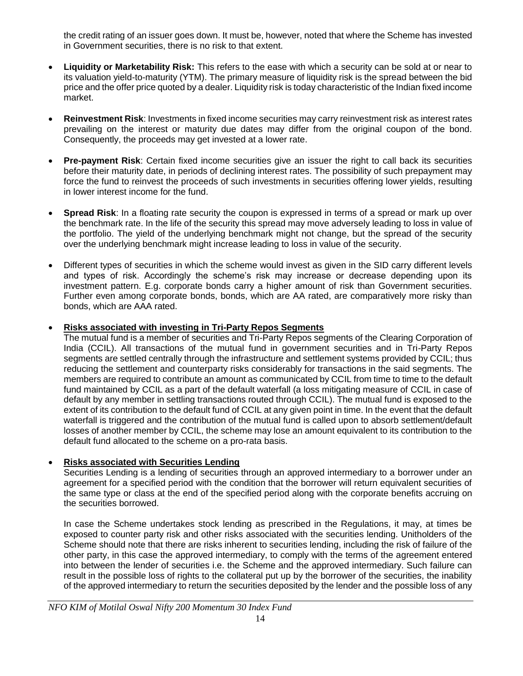the credit rating of an issuer goes down. It must be, however, noted that where the Scheme has invested in Government securities, there is no risk to that extent.

- **Liquidity or Marketability Risk:** This refers to the ease with which a security can be sold at or near to its valuation yield-to-maturity (YTM). The primary measure of liquidity risk is the spread between the bid price and the offer price quoted by a dealer. Liquidity risk is today characteristic of the Indian fixed income market.
- **Reinvestment Risk**: Investments in fixed income securities may carry reinvestment risk as interest rates prevailing on the interest or maturity due dates may differ from the original coupon of the bond. Consequently, the proceeds may get invested at a lower rate.
- **Pre-payment Risk**: Certain fixed income securities give an issuer the right to call back its securities before their maturity date, in periods of declining interest rates. The possibility of such prepayment may force the fund to reinvest the proceeds of such investments in securities offering lower yields, resulting in lower interest income for the fund.
- **Spread Risk:** In a floating rate security the coupon is expressed in terms of a spread or mark up over the benchmark rate. In the life of the security this spread may move adversely leading to loss in value of the portfolio. The yield of the underlying benchmark might not change, but the spread of the security over the underlying benchmark might increase leading to loss in value of the security.
- Different types of securities in which the scheme would invest as given in the SID carry different levels and types of risk. Accordingly the scheme's risk may increase or decrease depending upon its investment pattern. E.g. corporate bonds carry a higher amount of risk than Government securities. Further even among corporate bonds, bonds, which are AA rated, are comparatively more risky than bonds, which are AAA rated.

# **Risks associated with investing in Tri-Party Repos Segments**

The mutual fund is a member of securities and Tri-Party Repos segments of the Clearing Corporation of India (CCIL). All transactions of the mutual fund in government securities and in Tri-Party Repos segments are settled centrally through the infrastructure and settlement systems provided by CCIL; thus reducing the settlement and counterparty risks considerably for transactions in the said segments. The members are required to contribute an amount as communicated by CCIL from time to time to the default fund maintained by CCIL as a part of the default waterfall (a loss mitigating measure of CCIL in case of default by any member in settling transactions routed through CCIL). The mutual fund is exposed to the extent of its contribution to the default fund of CCIL at any given point in time. In the event that the default waterfall is triggered and the contribution of the mutual fund is called upon to absorb settlement/default losses of another member by CCIL, the scheme may lose an amount equivalent to its contribution to the default fund allocated to the scheme on a pro-rata basis.

# **Risks associated with Securities Lending**

Securities Lending is a lending of securities through an approved intermediary to a borrower under an agreement for a specified period with the condition that the borrower will return equivalent securities of the same type or class at the end of the specified period along with the corporate benefits accruing on the securities borrowed.

In case the Scheme undertakes stock lending as prescribed in the Regulations, it may, at times be exposed to counter party risk and other risks associated with the securities lending. Unitholders of the Scheme should note that there are risks inherent to securities lending, including the risk of failure of the other party, in this case the approved intermediary, to comply with the terms of the agreement entered into between the lender of securities i.e. the Scheme and the approved intermediary. Such failure can result in the possible loss of rights to the collateral put up by the borrower of the securities, the inability of the approved intermediary to return the securities deposited by the lender and the possible loss of any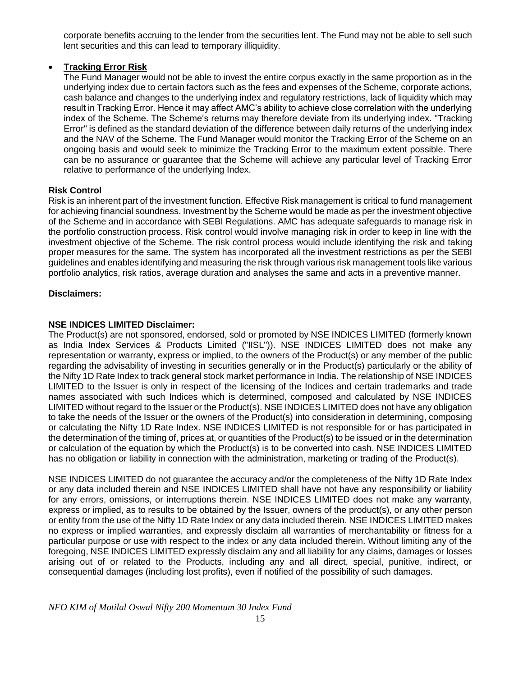corporate benefits accruing to the lender from the securities lent. The Fund may not be able to sell such lent securities and this can lead to temporary illiquidity.

# **Tracking Error Risk**

The Fund Manager would not be able to invest the entire corpus exactly in the same proportion as in the underlying index due to certain factors such as the fees and expenses of the Scheme, corporate actions, cash balance and changes to the underlying index and regulatory restrictions, lack of liquidity which may result in Tracking Error. Hence it may affect AMC's ability to achieve close correlation with the underlying index of the Scheme. The Scheme's returns may therefore deviate from its underlying index. "Tracking Error" is defined as the standard deviation of the difference between daily returns of the underlying index and the NAV of the Scheme. The Fund Manager would monitor the Tracking Error of the Scheme on an ongoing basis and would seek to minimize the Tracking Error to the maximum extent possible. There can be no assurance or guarantee that the Scheme will achieve any particular level of Tracking Error relative to performance of the underlying Index.

# **Risk Control**

Risk is an inherent part of the investment function. Effective Risk management is critical to fund management for achieving financial soundness. Investment by the Scheme would be made as per the investment objective of the Scheme and in accordance with SEBI Regulations. AMC has adequate safeguards to manage risk in the portfolio construction process. Risk control would involve managing risk in order to keep in line with the investment objective of the Scheme. The risk control process would include identifying the risk and taking proper measures for the same. The system has incorporated all the investment restrictions as per the SEBI guidelines and enables identifying and measuring the risk through various risk management tools like various portfolio analytics, risk ratios, average duration and analyses the same and acts in a preventive manner.

# **Disclaimers:**

# **NSE INDICES LIMITED Disclaimer:**

The Product(s) are not sponsored, endorsed, sold or promoted by NSE INDICES LIMITED (formerly known as India Index Services & Products Limited ("IISL")). NSE INDICES LIMITED does not make any representation or warranty, express or implied, to the owners of the Product(s) or any member of the public regarding the advisability of investing in securities generally or in the Product(s) particularly or the ability of the Nifty 1D Rate Index to track general stock market performance in India. The relationship of NSE INDICES LIMITED to the Issuer is only in respect of the licensing of the Indices and certain trademarks and trade names associated with such Indices which is determined, composed and calculated by NSE INDICES LIMITED without regard to the Issuer or the Product(s). NSE INDICES LIMITED does not have any obligation to take the needs of the Issuer or the owners of the Product(s) into consideration in determining, composing or calculating the Nifty 1D Rate Index. NSE INDICES LIMITED is not responsible for or has participated in the determination of the timing of, prices at, or quantities of the Product(s) to be issued or in the determination or calculation of the equation by which the Product(s) is to be converted into cash. NSE INDICES LIMITED has no obligation or liability in connection with the administration, marketing or trading of the Product(s).

NSE INDICES LIMITED do not guarantee the accuracy and/or the completeness of the Nifty 1D Rate Index or any data included therein and NSE INDICES LIMITED shall have not have any responsibility or liability for any errors, omissions, or interruptions therein. NSE INDICES LIMITED does not make any warranty, express or implied, as to results to be obtained by the Issuer, owners of the product(s), or any other person or entity from the use of the Nifty 1D Rate Index or any data included therein. NSE INDICES LIMITED makes no express or implied warranties, and expressly disclaim all warranties of merchantability or fitness for a particular purpose or use with respect to the index or any data included therein. Without limiting any of the foregoing, NSE INDICES LIMITED expressly disclaim any and all liability for any claims, damages or losses arising out of or related to the Products, including any and all direct, special, punitive, indirect, or consequential damages (including lost profits), even if notified of the possibility of such damages.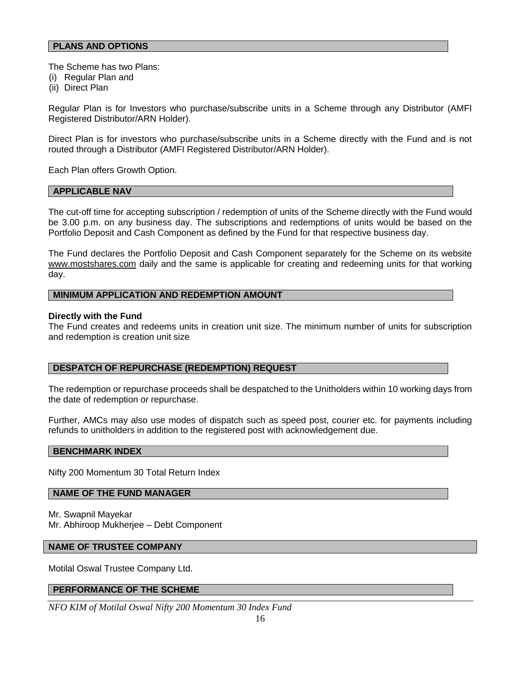#### **PLANS AND OPTIONS**

The Scheme has two Plans:

- (i) Regular Plan and
- (ii) Direct Plan

Regular Plan is for Investors who purchase/subscribe units in a Scheme through any Distributor (AMFI Registered Distributor/ARN Holder).

Direct Plan is for investors who purchase/subscribe units in a Scheme directly with the Fund and is not routed through a Distributor (AMFI Registered Distributor/ARN Holder).

Each Plan offers Growth Option.

#### **APPLICABLE NAV**

The cut-off time for accepting subscription / redemption of units of the Scheme directly with the Fund would be 3.00 p.m. on any business day. The subscriptions and redemptions of units would be based on the Portfolio Deposit and Cash Component as defined by the Fund for that respective business day.

The Fund declares the Portfolio Deposit and Cash Component separately for the Scheme on its website [www.mostshares.com](http://www.mostshares.com/) daily and the same is applicable for creating and redeeming units for that working day.

#### **MINIMUM APPLICATION AND REDEMPTION AMOUNT**

#### **Directly with the Fund**

The Fund creates and redeems units in creation unit size. The minimum number of units for subscription and redemption is creation unit size

### **DESPATCH OF REPURCHASE (REDEMPTION) REQUEST**

The redemption or repurchase proceeds shall be despatched to the Unitholders within 10 working days from the date of redemption or repurchase.

Further, AMCs may also use modes of dispatch such as speed post, courier etc. for payments including refunds to unitholders in addition to the registered post with acknowledgement due.

#### **BENCHMARK INDEX**

Nifty 200 Momentum 30 Total Return Index

#### **NAME OF THE FUND MANAGER**

Mr. Swapnil Mayekar Mr. Abhiroop Mukherjee – Debt Component

#### **NAME OF TRUSTEE COMPANY**

Motilal Oswal Trustee Company Ltd.

#### **PERFORMANCE OF THE SCHEME**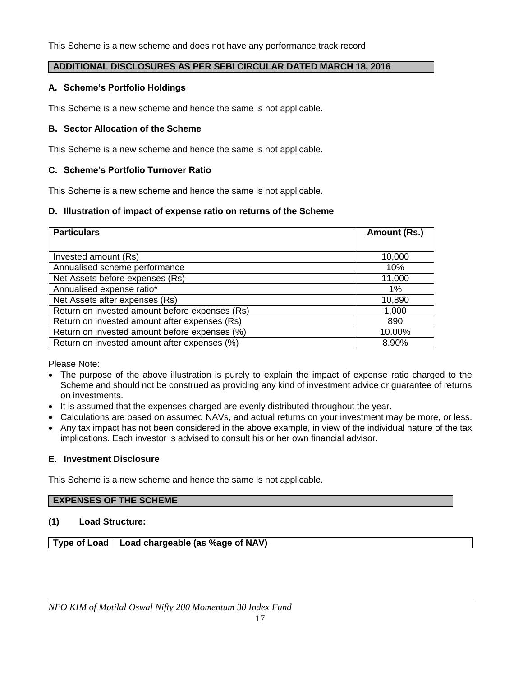This Scheme is a new scheme and does not have any performance track record.

# **ADDITIONAL DISCLOSURES AS PER SEBI CIRCULAR DATED MARCH 18, 2016**

## **A. Scheme's Portfolio Holdings**

This Scheme is a new scheme and hence the same is not applicable.

## **B. Sector Allocation of the Scheme**

This Scheme is a new scheme and hence the same is not applicable.

### **C. Scheme's Portfolio Turnover Ratio**

This Scheme is a new scheme and hence the same is not applicable.

### **D. Illustration of impact of expense ratio on returns of the Scheme**

| <b>Particulars</b>                             | Amount (Rs.) |
|------------------------------------------------|--------------|
|                                                |              |
| Invested amount (Rs)                           | 10,000       |
| Annualised scheme performance                  | 10%          |
| Net Assets before expenses (Rs)                | 11,000       |
| Annualised expense ratio*                      | 1%           |
| Net Assets after expenses (Rs)                 | 10,890       |
| Return on invested amount before expenses (Rs) | 1,000        |
| Return on invested amount after expenses (Rs)  | 890          |
| Return on invested amount before expenses (%)  | 10.00%       |
| Return on invested amount after expenses (%)   | 8.90%        |

Please Note:

- The purpose of the above illustration is purely to explain the impact of expense ratio charged to the Scheme and should not be construed as providing any kind of investment advice or guarantee of returns on investments.
- It is assumed that the expenses charged are evenly distributed throughout the year.
- Calculations are based on assumed NAVs, and actual returns on your investment may be more, or less.
- Any tax impact has not been considered in the above example, in view of the individual nature of the tax implications. Each investor is advised to consult his or her own financial advisor.

### **E. Investment Disclosure**

This Scheme is a new scheme and hence the same is not applicable.

# **EXPENSES OF THE SCHEME**

# **(1) Load Structure:**

**Type of Load Load chargeable (as %age of NAV)**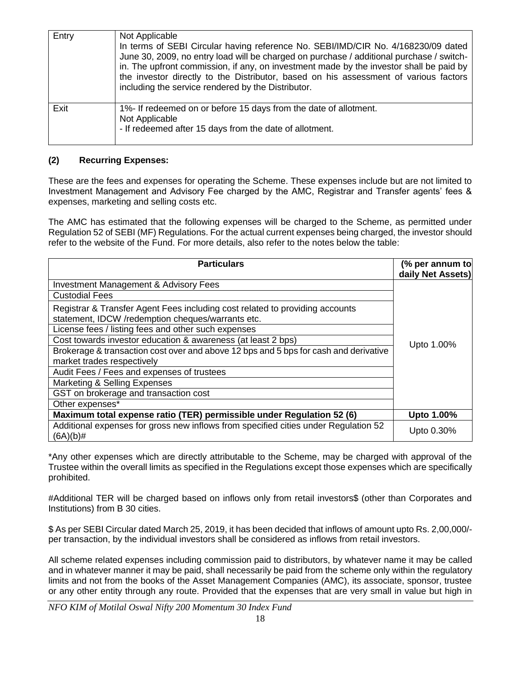| Entry | Not Applicable<br>In terms of SEBI Circular having reference No. SEBI/IMD/CIR No. 4/168230/09 dated<br>June 30, 2009, no entry load will be charged on purchase / additional purchase / switch-<br>in. The upfront commission, if any, on investment made by the investor shall be paid by<br>the investor directly to the Distributor, based on his assessment of various factors<br>including the service rendered by the Distributor. |
|-------|------------------------------------------------------------------------------------------------------------------------------------------------------------------------------------------------------------------------------------------------------------------------------------------------------------------------------------------------------------------------------------------------------------------------------------------|
| Exit  | 1%- If redeemed on or before 15 days from the date of allotment.<br>Not Applicable<br>- If redeemed after 15 days from the date of allotment.                                                                                                                                                                                                                                                                                            |

# **(2) Recurring Expenses:**

These are the fees and expenses for operating the Scheme. These expenses include but are not limited to Investment Management and Advisory Fee charged by the AMC, Registrar and Transfer agents' fees & expenses, marketing and selling costs etc.

The AMC has estimated that the following expenses will be charged to the Scheme, as permitted under Regulation 52 of SEBI (MF) Regulations. For the actual current expenses being charged, the investor should refer to the website of the Fund. For more details, also refer to the notes below the table:

| <b>Particulars</b>                                                                                                                | (% per annum to<br>daily Net Assets) |
|-----------------------------------------------------------------------------------------------------------------------------------|--------------------------------------|
| <b>Investment Management &amp; Advisory Fees</b>                                                                                  |                                      |
| <b>Custodial Fees</b>                                                                                                             |                                      |
| Registrar & Transfer Agent Fees including cost related to providing accounts<br>statement, IDCW /redemption cheques/warrants etc. |                                      |
| License fees / listing fees and other such expenses                                                                               |                                      |
| Cost towards investor education & awareness (at least 2 bps)                                                                      | Upto 1.00%                           |
| Brokerage & transaction cost over and above 12 bps and 5 bps for cash and derivative                                              |                                      |
| market trades respectively                                                                                                        |                                      |
| Audit Fees / Fees and expenses of trustees                                                                                        |                                      |
| Marketing & Selling Expenses                                                                                                      |                                      |
| GST on brokerage and transaction cost                                                                                             |                                      |
| Other expenses*                                                                                                                   |                                      |
| Maximum total expense ratio (TER) permissible under Regulation 52 (6)                                                             | Upto 1.00%                           |
| Additional expenses for gross new inflows from specified cities under Regulation 52<br>$(6A)(b)$ #                                | Upto 0.30%                           |

\*Any other expenses which are directly attributable to the Scheme, may be charged with approval of the Trustee within the overall limits as specified in the Regulations except those expenses which are specifically prohibited.

#Additional TER will be charged based on inflows only from retail investors\$ (other than Corporates and Institutions) from B 30 cities.

\$ As per SEBI Circular dated March 25, 2019, it has been decided that inflows of amount upto Rs. 2,00,000/ per transaction, by the individual investors shall be considered as inflows from retail investors.

All scheme related expenses including commission paid to distributors, by whatever name it may be called and in whatever manner it may be paid, shall necessarily be paid from the scheme only within the regulatory limits and not from the books of the Asset Management Companies (AMC), its associate, sponsor, trustee or any other entity through any route. Provided that the expenses that are very small in value but high in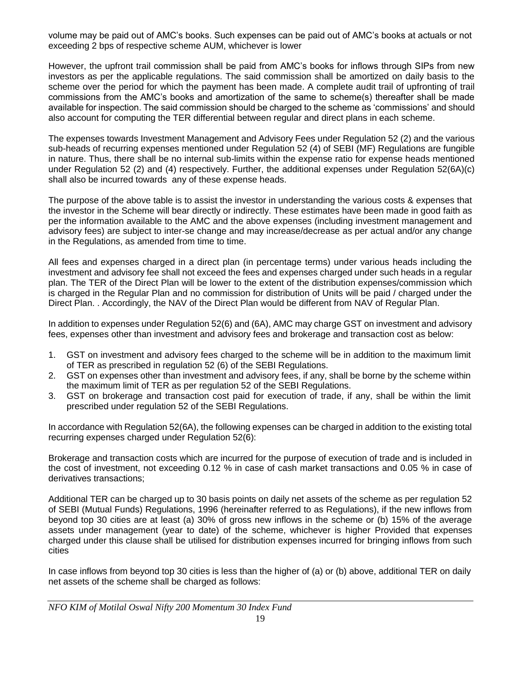volume may be paid out of AMC's books. Such expenses can be paid out of AMC's books at actuals or not exceeding 2 bps of respective scheme AUM, whichever is lower

However, the upfront trail commission shall be paid from AMC's books for inflows through SIPs from new investors as per the applicable regulations. The said commission shall be amortized on daily basis to the scheme over the period for which the payment has been made. A complete audit trail of upfronting of trail commissions from the AMC's books and amortization of the same to scheme(s) thereafter shall be made available for inspection. The said commission should be charged to the scheme as 'commissions' and should also account for computing the TER differential between regular and direct plans in each scheme.

The expenses towards Investment Management and Advisory Fees under Regulation 52 (2) and the various sub-heads of recurring expenses mentioned under Regulation 52 (4) of SEBI (MF) Regulations are fungible in nature. Thus, there shall be no internal sub-limits within the expense ratio for expense heads mentioned under Regulation 52 (2) and (4) respectively. Further, the additional expenses under Regulation 52(6A)(c) shall also be incurred towards any of these expense heads.

The purpose of the above table is to assist the investor in understanding the various costs & expenses that the investor in the Scheme will bear directly or indirectly. These estimates have been made in good faith as per the information available to the AMC and the above expenses (including investment management and advisory fees) are subject to inter-se change and may increase/decrease as per actual and/or any change in the Regulations, as amended from time to time.

All fees and expenses charged in a direct plan (in percentage terms) under various heads including the investment and advisory fee shall not exceed the fees and expenses charged under such heads in a regular plan. The TER of the Direct Plan will be lower to the extent of the distribution expenses/commission which is charged in the Regular Plan and no commission for distribution of Units will be paid / charged under the Direct Plan. . Accordingly, the NAV of the Direct Plan would be different from NAV of Regular Plan.

In addition to expenses under Regulation 52(6) and (6A), AMC may charge GST on investment and advisory fees, expenses other than investment and advisory fees and brokerage and transaction cost as below:

- 1. GST on investment and advisory fees charged to the scheme will be in addition to the maximum limit of TER as prescribed in regulation 52 (6) of the SEBI Regulations.
- 2. GST on expenses other than investment and advisory fees, if any, shall be borne by the scheme within the maximum limit of TER as per regulation 52 of the SEBI Regulations.
- 3. GST on brokerage and transaction cost paid for execution of trade, if any, shall be within the limit prescribed under regulation 52 of the SEBI Regulations.

In accordance with Regulation 52(6A), the following expenses can be charged in addition to the existing total recurring expenses charged under Regulation 52(6):

Brokerage and transaction costs which are incurred for the purpose of execution of trade and is included in the cost of investment, not exceeding 0.12 % in case of cash market transactions and 0.05 % in case of derivatives transactions;

Additional TER can be charged up to 30 basis points on daily net assets of the scheme as per regulation 52 of SEBI (Mutual Funds) Regulations, 1996 (hereinafter referred to as Regulations), if the new inflows from beyond top 30 cities are at least (a) 30% of gross new inflows in the scheme or (b) 15% of the average assets under management (year to date) of the scheme, whichever is higher Provided that expenses charged under this clause shall be utilised for distribution expenses incurred for bringing inflows from such cities

In case inflows from beyond top 30 cities is less than the higher of (a) or (b) above, additional TER on daily net assets of the scheme shall be charged as follows: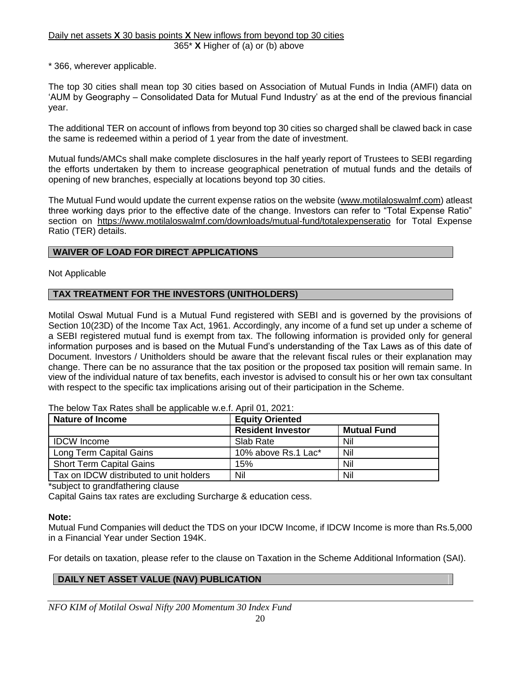#### Daily net assets **X** 30 basis points **X** New inflows from beyond top 30 cities 365\* **X** Higher of (a) or (b) above

\* 366, wherever applicable.

The top 30 cities shall mean top 30 cities based on Association of Mutual Funds in India (AMFI) data on 'AUM by Geography – Consolidated Data for Mutual Fund Industry' as at the end of the previous financial year.

The additional TER on account of inflows from beyond top 30 cities so charged shall be clawed back in case the same is redeemed within a period of 1 year from the date of investment.

Mutual funds/AMCs shall make complete disclosures in the half yearly report of Trustees to SEBI regarding the efforts undertaken by them to increase geographical penetration of mutual funds and the details of opening of new branches, especially at locations beyond top 30 cities.

The Mutual Fund would update the current expense ratios on the website [\(www.motilaloswalmf.com\)](http://www.motilaloswalmf.com/) atleast three working days prior to the effective date of the change. Investors can refer to "Total Expense Ratio" section on <https://www.motilaloswalmf.com/downloads/mutual-fund/totalexpenseratio> for Total Expense Ratio (TER) details.

### **WAIVER OF LOAD FOR DIRECT APPLICATIONS**

Not Applicable

### **TAX TREATMENT FOR THE INVESTORS (UNITHOLDERS)**

Motilal Oswal Mutual Fund is a Mutual Fund registered with SEBI and is governed by the provisions of Section 10(23D) of the Income Tax Act, 1961. Accordingly, any income of a fund set up under a scheme of a SEBI registered mutual fund is exempt from tax. The following information is provided only for general information purposes and is based on the Mutual Fund's understanding of the Tax Laws as of this date of Document. Investors / Unitholders should be aware that the relevant fiscal rules or their explanation may change. There can be no assurance that the tax position or the proposed tax position will remain same. In view of the individual nature of tax benefits, each investor is advised to consult his or her own tax consultant with respect to the specific tax implications arising out of their participation in the Scheme.

| <b>Nature of Income</b>                 | <b>Equity Oriented</b>   |                    |
|-----------------------------------------|--------------------------|--------------------|
|                                         | <b>Resident Investor</b> | <b>Mutual Fund</b> |
| <b>IDCW</b> Income                      | Slab Rate                | Nil                |
| Long Term Capital Gains                 | 10% above Rs.1 Lac*      | Nil                |
| <b>Short Term Capital Gains</b>         | 15%                      | Nil                |
| Tax on IDCW distributed to unit holders | Nil                      | Nil                |

The below Tax Rates shall be applicable w.e.f. April 01, 2021:

\*subject to grandfathering clause

Capital Gains tax rates are excluding Surcharge & education cess.

### **Note:**

Mutual Fund Companies will deduct the TDS on your IDCW Income, if IDCW Income is more than Rs.5,000 in a Financial Year under Section 194K.

For details on taxation, please refer to the clause on Taxation in the Scheme Additional Information (SAI).

# **DAILY NET ASSET VALUE (NAV) PUBLICATION**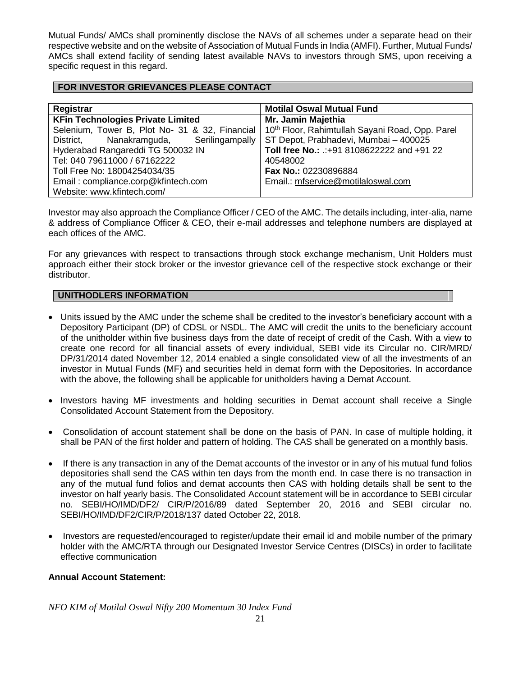Mutual Funds/ AMCs shall prominently disclose the NAVs of all schemes under a separate head on their respective website and on the website of Association of Mutual Funds in India (AMFI). Further, Mutual Funds/ AMCs shall extend facility of sending latest available NAVs to investors through SMS, upon receiving a specific request in this regard.

# **FOR INVESTOR GRIEVANCES PLEASE CONTACT**

| Registrar                                                                     | <b>Motilal Oswal Mutual Fund</b>                            |
|-------------------------------------------------------------------------------|-------------------------------------------------------------|
| <b>KFin Technologies Private Limited</b>                                      | Mr. Jamin Majethia                                          |
| Selenium, Tower B, Plot No- 31 & 32, Financial                                | 10 <sup>th</sup> Floor, Rahimtullah Sayani Road, Opp. Parel |
| District, Nanakramguda, Serilingampally ST Depot, Prabhadevi, Mumbai – 400025 |                                                             |
| Hyderabad Rangareddi TG 500032 IN                                             | Toll free No.: .: +91 8108622222 and +91 22                 |
| Tel: 040 79611000 / 67162222                                                  | 40548002                                                    |
| Toll Free No: 18004254034/35                                                  | Fax No.: 02230896884                                        |
| Email: compliance.corp@kfintech.com                                           | Email.: mfservice@motilaloswal.com                          |
| Website: www.kfintech.com/                                                    |                                                             |

Investor may also approach the Compliance Officer / CEO of the AMC. The details including, inter-alia, name & address of Compliance Officer & CEO, their e-mail addresses and telephone numbers are displayed at each offices of the AMC.

For any grievances with respect to transactions through stock exchange mechanism, Unit Holders must approach either their stock broker or the investor grievance cell of the respective stock exchange or their distributor.

# **UNITHODLERS INFORMATION**

- Units issued by the AMC under the scheme shall be credited to the investor's beneficiary account with a Depository Participant (DP) of CDSL or NSDL. The AMC will credit the units to the beneficiary account of the unitholder within five business days from the date of receipt of credit of the Cash. With a view to create one record for all financial assets of every individual, SEBI vide its Circular no. CIR/MRD/ DP/31/2014 dated November 12, 2014 enabled a single consolidated view of all the investments of an investor in Mutual Funds (MF) and securities held in demat form with the Depositories. In accordance with the above, the following shall be applicable for unitholders having a Demat Account.
- Investors having MF investments and holding securities in Demat account shall receive a Single Consolidated Account Statement from the Depository.
- Consolidation of account statement shall be done on the basis of PAN. In case of multiple holding, it shall be PAN of the first holder and pattern of holding. The CAS shall be generated on a monthly basis.
- If there is any transaction in any of the Demat accounts of the investor or in any of his mutual fund folios depositories shall send the CAS within ten days from the month end. In case there is no transaction in any of the mutual fund folios and demat accounts then CAS with holding details shall be sent to the investor on half yearly basis. The Consolidated Account statement will be in accordance to SEBI circular no. SEBI/HO/IMD/DF2/ CIR/P/2016/89 dated September 20, 2016 and SEBI circular no. SEBI/HO/IMD/DF2/CIR/P/2018/137 dated October 22, 2018.
- Investors are requested/encouraged to register/update their email id and mobile number of the primary holder with the AMC/RTA through our Designated Investor Service Centres (DISCs) in order to facilitate effective communication

# **Annual Account Statement:**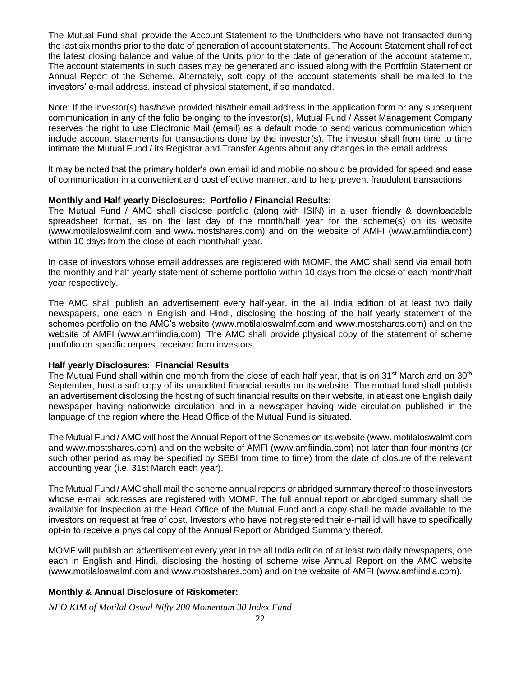The Mutual Fund shall provide the Account Statement to the Unitholders who have not transacted during the last six months prior to the date of generation of account statements. The Account Statement shall reflect the latest closing balance and value of the Units prior to the date of generation of the account statement, The account statements in such cases may be generated and issued along with the Portfolio Statement or Annual Report of the Scheme. Alternately, soft copy of the account statements shall be mailed to the investors' e-mail address, instead of physical statement, if so mandated.

Note: If the investor(s) has/have provided his/their email address in the application form or any subsequent communication in any of the folio belonging to the investor(s), Mutual Fund / Asset Management Company reserves the right to use Electronic Mail (email) as a default mode to send various communication which include account statements for transactions done by the investor(s). The investor shall from time to time intimate the Mutual Fund / its Registrar and Transfer Agents about any changes in the email address.

It may be noted that the primary holder's own email id and mobile no should be provided for speed and ease of communication in a convenient and cost effective manner, and to help prevent fraudulent transactions.

### **Monthly and Half yearly Disclosures: Portfolio / Financial Results:**

The Mutual Fund / AMC shall disclose portfolio (along with ISIN) in a user friendly & downloadable spreadsheet format, as on the last day of the month/half year for the scheme(s) on its website (www.motilaloswalmf.com and www.mostshares.com) and on the website of AMFI (www.amfiindia.com) within 10 days from the close of each month/half year.

In case of investors whose email addresses are registered with MOMF, the AMC shall send via email both the monthly and half yearly statement of scheme portfolio within 10 days from the close of each month/half year respectively.

The AMC shall publish an advertisement every half-year, in the all India edition of at least two daily newspapers, one each in English and Hindi, disclosing the hosting of the half yearly statement of the schemes portfolio on the AMC's website (www.motilaloswalmf.com and www.mostshares.com) and on the website of AMFI (www.amfiindia.com). The AMC shall provide physical copy of the statement of scheme portfolio on specific request received from investors.

### **Half yearly Disclosures: Financial Results**

The Mutual Fund shall within one month from the close of each half year, that is on 31<sup>st</sup> March and on 30<sup>th</sup> September, host a soft copy of its unaudited financial results on its website. The mutual fund shall publish an advertisement disclosing the hosting of such financial results on their website, in atleast one English daily newspaper having nationwide circulation and in a newspaper having wide circulation published in the language of the region where the Head Office of the Mutual Fund is situated.

The Mutual Fund / AMC will host the Annual Report of the Schemes on its website (www. motilaloswalmf.com and [www.mostshares.com\)](http://www.mostshares.com/) and on the website of AMFI (www.amfiindia.com) not later than four months (or such other period as may be specified by SEBI from time to time) from the date of closure of the relevant accounting year (i.e. 31st March each year).

The Mutual Fund / AMC shall mail the scheme annual reports or abridged summary thereof to those investors whose e-mail addresses are registered with MOMF. The full annual report or abridged summary shall be available for inspection at the Head Office of the Mutual Fund and a copy shall be made available to the investors on request at free of cost. Investors who have not registered their e-mail id will have to specifically opt-in to receive a physical copy of the Annual Report or Abridged Summary thereof.

MOMF will publish an advertisement every year in the all India edition of at least two daily newspapers, one each in English and Hindi, disclosing the hosting of scheme wise Annual Report on the AMC website [\(www.motilaloswalmf.com](http://www.motilaloswalmf.com/) and [www.mostshares.com\)](http://www.mostshares.com/) and on the website of AMFI [\(www.amfiindia.com\)](http://www.amfiindia.com/).

### **Monthly & Annual Disclosure of Riskometer:**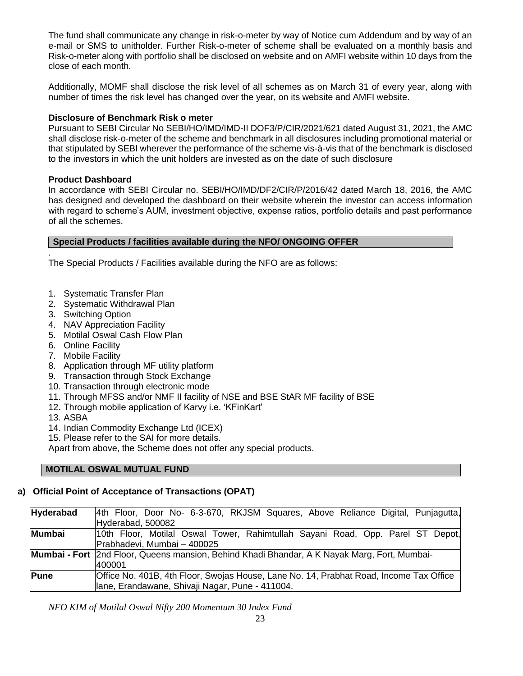The fund shall communicate any change in risk-o-meter by way of Notice cum Addendum and by way of an e-mail or SMS to unitholder. Further Risk-o-meter of scheme shall be evaluated on a monthly basis and Risk-o-meter along with portfolio shall be disclosed on website and on AMFI website within 10 days from the close of each month.

Additionally, MOMF shall disclose the risk level of all schemes as on March 31 of every year, along with number of times the risk level has changed over the year, on its website and AMFI website.

### **Disclosure of Benchmark Risk o meter**

Pursuant to SEBI Circular No SEBI/HO/IMD/IMD-II DOF3/P/CIR/2021/621 dated August 31, 2021, the AMC shall disclose risk-o-meter of the scheme and benchmark in all disclosures including promotional material or that stipulated by SEBI wherever the performance of the scheme vis-à-vis that of the benchmark is disclosed to the investors in which the unit holders are invested as on the date of such disclosure

### **Product Dashboard**

In accordance with SEBI Circular no. SEBI/HO/IMD/DF2/CIR/P/2016/42 dated March 18, 2016, the AMC has designed and developed the dashboard on their website wherein the investor can access information with regard to scheme's AUM, investment objective, expense ratios, portfolio details and past performance of all the schemes.

### **Special Products / facilities available during the NFO/ ONGOING OFFER**

. The Special Products / Facilities available during the NFO are as follows:

- 1. Systematic Transfer Plan
- 2. Systematic Withdrawal Plan
- 3. Switching Option
- 4. NAV Appreciation Facility
- 5. Motilal Oswal Cash Flow Plan
- 6. Online Facility
- 7. Mobile Facility
- 8. Application through MF utility platform
- 9. Transaction through Stock Exchange
- 10. Transaction through electronic mode
- 11. Through MFSS and/or NMF II facility of NSE and BSE StAR MF facility of BSE
- 12. Through mobile application of Karvy i.e. 'KFinKart'
- 13. ASBA
- 14. Indian Commodity Exchange Ltd (ICEX)
- 15. Please refer to the SAI for more details.

Apart from above, the Scheme does not offer any special products.

### **MOTILAL OSWAL MUTUAL FUND**

# **a) Official Point of Acceptance of Transactions (OPAT)**

| Hyderabad | 4th Floor, Door No- 6-3-670, RKJSM Squares, Above Reliance Digital, Punjagutta,              |  |
|-----------|----------------------------------------------------------------------------------------------|--|
|           | Hyderabad, 500082                                                                            |  |
| Mumbai    | 10th Floor, Motilal Oswal Tower, Rahimtullah Sayani Road, Opp. Parel ST Depot,               |  |
|           | Prabhadevi, Mumbai - 400025                                                                  |  |
|           | Mumbai - Fort 2nd Floor, Queens mansion, Behind Khadi Bhandar, A K Nayak Marg, Fort, Mumbai- |  |
|           | 1400001                                                                                      |  |
| Pune      | Office No. 401B, 4th Floor, Swojas House, Lane No. 14, Prabhat Road, Income Tax Office       |  |
|           | Iane, Erandawane, Shivaji Nagar, Pune - 411004.                                              |  |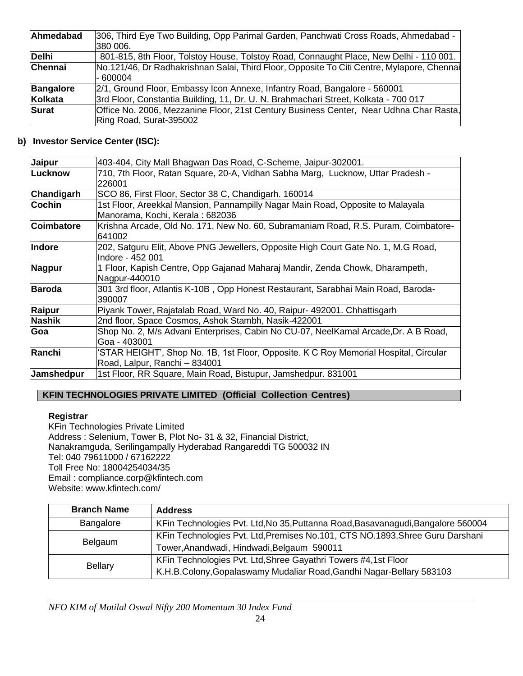| Ahmedabad      | 306, Third Eye Two Building, Opp Parimal Garden, Panchwati Cross Roads, Ahmedabad -                    |
|----------------|--------------------------------------------------------------------------------------------------------|
|                | 380 006.                                                                                               |
| Delhi          | 801-815, 8th Floor, Tolstoy House, Tolstoy Road, Connaught Place, New Delhi - 110 001.                 |
| <b>Chennai</b> | No.121/46, Dr Radhakrishnan Salai, Third Floor, Opposite To Citi Centre, Mylapore, Chennai<br>- 600004 |
| Bangalore      | 2/1, Ground Floor, Embassy Icon Annexe, Infantry Road, Bangalore - 560001                              |
| Kolkata        | 3rd Floor, Constantia Building, 11, Dr. U. N. Brahmachari Street, Kolkata - 700 017                    |
| Surat          | Office No. 2006, Mezzanine Floor, 21st Century Business Center, Near Udhna Char Rasta,                 |
|                | Ring Road, Surat-395002                                                                                |

# **b) Investor Service Center (ISC):**

| Jaipur            | 403-404, City Mall Bhagwan Das Road, C-Scheme, Jaipur-302001.                                                         |
|-------------------|-----------------------------------------------------------------------------------------------------------------------|
| <b>Lucknow</b>    | 710, 7th Floor, Ratan Square, 20-A, Vidhan Sabha Marg, Lucknow, Uttar Pradesh -<br>226001                             |
| Chandigarh        | SCO 86, First Floor, Sector 38 C, Chandigarh. 160014                                                                  |
| Cochin            | 1st Floor, Areekkal Mansion, Pannampilly Nagar Main Road, Opposite to Malayala<br>Manorama, Kochi, Kerala : 682036    |
| <b>Coimbatore</b> | Krishna Arcade, Old No. 171, New No. 60, Subramaniam Road, R.S. Puram, Coimbatore-<br>1641002                         |
| Indore            | 202, Satguru Elit, Above PNG Jewellers, Opposite High Court Gate No. 1, M.G Road,<br>lIndore - 452 001                |
| <b>Nagpur</b>     | 1 Floor, Kapish Centre, Opp Gajanad Maharaj Mandir, Zenda Chowk, Dharampeth,<br>Nagpur-440010                         |
| <b>Baroda</b>     | 301 3rd floor, Atlantis K-10B, Opp Honest Restaurant, Sarabhai Main Road, Baroda-<br>390007                           |
| <b>Raipur</b>     | Piyank Tower, Rajatalab Road, Ward No. 40, Raipur- 492001. Chhattisgarh                                               |
| <b>Nashik</b>     | 2nd floor, Space Cosmos, Ashok Stambh, Nasik-422001                                                                   |
| Goa               | Shop No. 2, M/s Advani Enterprises, Cabin No CU-07, NeelKamal Arcade, Dr. A B Road,<br>Goa - 403001                   |
| Ranchi            | 'STAR HEIGHT', Shop No. 1B, 1st Floor, Opposite. K C Roy Memorial Hospital, Circular<br>Road, Lalpur, Ranchi - 834001 |
| Jamshedpur        | 1st Floor, RR Square, Main Road, Bistupur, Jamshedpur. 831001                                                         |

# **KFIN TECHNOLOGIES PRIVATE LIMITED (Official Collection Centres)**

# **Registrar**

KFin Technologies Private Limited Address : Selenium, Tower B, Plot No- 31 & 32, Financial District, Nanakramguda, Serilingampally Hyderabad Rangareddi TG 500032 IN Tel: 040 79611000 / 67162222 Toll Free No: 18004254034/35 Email : [compliance.corp@kfintech.com](mailto:compliance.corp@kfintech.com) Website: [www.kfintech.com/](https://protect-eu.mimecast.com/s/txUcCX5lnfnp2XofVNZ1i?domain=kfintech.com/)

| <b>Branch Name</b> | <b>Address</b>                                                                   |
|--------------------|----------------------------------------------------------------------------------|
| Bangalore          | KFin Technologies Pvt. Ltd, No 35, Puttanna Road, Basavanagudi, Bangalore 560004 |
| Belgaum            | KFin Technologies Pvt. Ltd, Premises No.101, CTS NO.1893, Shree Guru Darshani    |
|                    | Tower, Anandwadi, Hindwadi, Belgaum 590011                                       |
|                    | KFin Technologies Pvt. Ltd, Shree Gayathri Towers #4,1st Floor                   |
| Bellary            | K.H.B.Colony, Gopalaswamy Mudaliar Road, Gandhi Nagar-Bellary 583103             |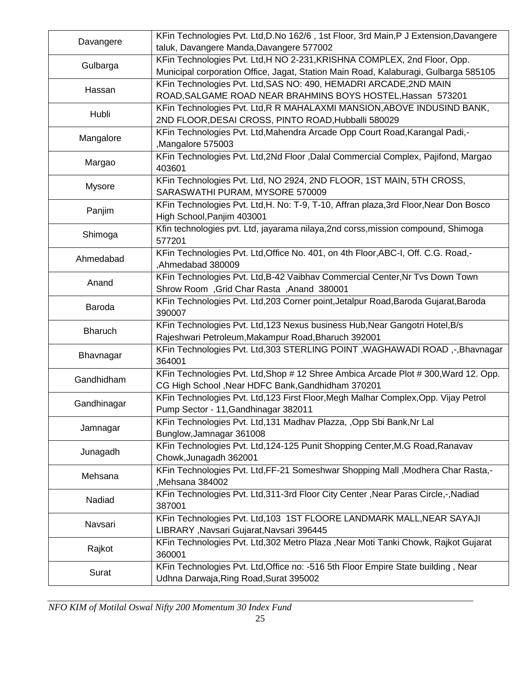| Davangere      | KFin Technologies Pvt. Ltd, D.No 162/6, 1st Floor, 3rd Main, P J Extension, Davangere<br>taluk, Davangere Manda, Davangere 577002 |
|----------------|-----------------------------------------------------------------------------------------------------------------------------------|
|                | KFin Technologies Pvt. Ltd, H NO 2-231, KRISHNA COMPLEX, 2nd Floor, Opp.                                                          |
| Gulbarga       | Municipal corporation Office, Jagat, Station Main Road, Kalaburagi, Gulbarga 585105                                               |
|                | KFin Technologies Pvt. Ltd, SAS NO: 490, HEMADRI ARCADE, 2ND MAIN                                                                 |
| Hassan         | ROAD, SALGAME ROAD NEAR BRAHMINS BOYS HOSTEL, Hassan 573201                                                                       |
|                | KFin Technologies Pvt. Ltd, R R MAHALAXMI MANSION, ABOVE INDUSIND BANK,                                                           |
| Hubli          | 2ND FLOOR, DESAI CROSS, PINTO ROAD, Hubballi 580029                                                                               |
| Mangalore      | KFin Technologies Pvt. Ltd, Mahendra Arcade Opp Court Road, Karangal Padi,-                                                       |
|                | Mangalore 575003                                                                                                                  |
| Margao         | KFin Technologies Pvt. Ltd, 2Nd Floor, Dalal Commercial Complex, Pajifond, Margao<br>403601                                       |
|                | KFin Technologies Pvt. Ltd, NO 2924, 2ND FLOOR, 1ST MAIN, 5TH CROSS,                                                              |
| <b>Mysore</b>  | SARASWATHI PURAM, MYSORE 570009                                                                                                   |
|                | KFin Technologies Pvt. Ltd, H. No: T-9, T-10, Affran plaza, 3rd Floor, Near Don Bosco                                             |
| Panjim         | High School, Panjim 403001                                                                                                        |
| Shimoga        | Kfin technologies pvt. Ltd, jayarama nilaya, 2nd corss, mission compound, Shimoga                                                 |
|                | 577201                                                                                                                            |
| Ahmedabad      | KFin Technologies Pvt. Ltd, Office No. 401, on 4th Floor, ABC-I, Off. C.G. Road,-                                                 |
|                | Ahmedabad 380009                                                                                                                  |
| Anand          | KFin Technologies Pvt. Ltd, B-42 Vaibhav Commercial Center, Nr Tvs Down Town                                                      |
|                | Shrow Room, Grid Char Rasta, Anand 380001                                                                                         |
| Baroda         | KFin Technologies Pvt. Ltd, 203 Corner point, Jetalpur Road, Baroda Gujarat, Baroda<br>390007                                     |
| <b>Bharuch</b> | KFin Technologies Pvt. Ltd, 123 Nexus business Hub, Near Gangotri Hotel, B/s                                                      |
|                | Rajeshwari Petroleum, Makampur Road, Bharuch 392001                                                                               |
| Bhavnagar      | KFin Technologies Pvt. Ltd, 303 STERLING POINT, WAGHAWADI ROAD, -, Bhavnagar<br>364001                                            |
| Gandhidham     | KFin Technologies Pvt. Ltd, Shop # 12 Shree Ambica Arcade Plot # 300, Ward 12. Opp.                                               |
|                | CG High School , Near HDFC Bank, Gandhidham 370201                                                                                |
| Gandhinagar    | KFin Technologies Pvt. Ltd, 123 First Floor, Megh Malhar Complex, Opp. Vijay Petrol                                               |
|                | Pump Sector - 11, Gandhinagar 382011                                                                                              |
| Jamnagar       | KFin Technologies Pvt. Ltd, 131 Madhav Plazza, , Opp Sbi Bank, Nr Lal                                                             |
|                | Bunglow, Jamnagar 361008                                                                                                          |
| Junagadh       | KFin Technologies Pvt. Ltd, 124-125 Punit Shopping Center, M.G Road, Ranavav                                                      |
|                | Chowk, Junagadh 362001                                                                                                            |
| Mehsana        | KFin Technologies Pvt. Ltd, FF-21 Someshwar Shopping Mall, Modhera Char Rasta,-<br>Mehsana 384002                                 |
|                | KFin Technologies Pvt. Ltd, 311-3rd Floor City Center, Near Paras Circle,-, Nadiad                                                |
| Nadiad         | 387001                                                                                                                            |
| Navsari        | KFin Technologies Pvt. Ltd, 103 1ST FLOORE LANDMARK MALL, NEAR SAYAJI                                                             |
|                | LIBRARY, Navsari Gujarat, Navsari 396445                                                                                          |
| Rajkot         | KFin Technologies Pvt. Ltd, 302 Metro Plaza, Near Moti Tanki Chowk, Rajkot Gujarat                                                |
|                | 360001                                                                                                                            |
| Surat          | KFin Technologies Pvt. Ltd, Office no: -516 5th Floor Empire State building, Near                                                 |
|                | Udhna Darwaja, Ring Road, Surat 395002                                                                                            |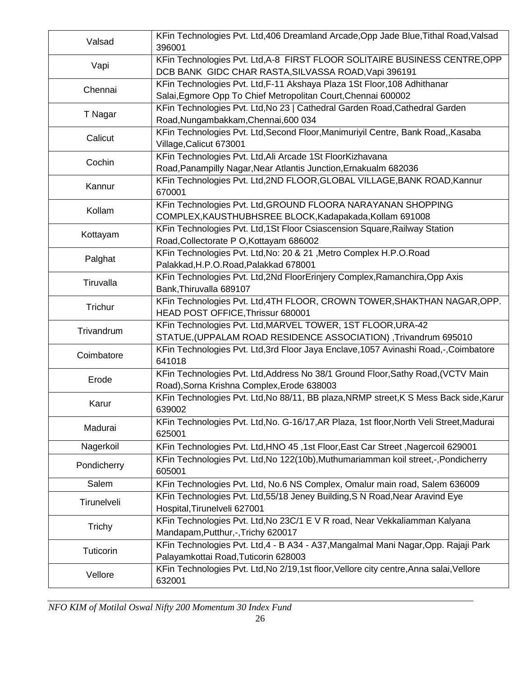| Valsad      | KFin Technologies Pvt. Ltd, 406 Dreamland Arcade, Opp Jade Blue, Tithal Road, Valsad<br>396001                                            |
|-------------|-------------------------------------------------------------------------------------------------------------------------------------------|
| Vapi        | KFin Technologies Pvt. Ltd, A-8 FIRST FLOOR SOLITAIRE BUSINESS CENTRE, OPP<br>DCB BANK GIDC CHAR RASTA, SILVASSA ROAD, Vapi 396191        |
| Chennai     | KFin Technologies Pvt. Ltd, F-11 Akshaya Plaza 1St Floor, 108 Adhithanar<br>Salai, Egmore Opp To Chief Metropolitan Court, Chennai 600002 |
| T Nagar     | KFin Technologies Pvt. Ltd, No 23   Cathedral Garden Road, Cathedral Garden<br>Road, Nungambakkam, Chennai, 600 034                       |
| Calicut     | KFin Technologies Pvt. Ltd, Second Floor, Manimuriyil Centre, Bank Road,, Kasaba<br>Village, Calicut 673001                               |
| Cochin      | KFin Technologies Pvt. Ltd, Ali Arcade 1St FloorKizhavana<br>Road, Panampilly Nagar, Near Atlantis Junction, Ernakualm 682036             |
| Kannur      | KFin Technologies Pvt. Ltd, 2ND FLOOR, GLOBAL VILLAGE, BANK ROAD, Kannur<br>670001                                                        |
| Kollam      | KFin Technologies Pvt. Ltd, GROUND FLOORA NARAYANAN SHOPPING<br>COMPLEX, KAUSTHUBHSREE BLOCK, Kadapakada, Kollam 691008                   |
| Kottayam    | KFin Technologies Pvt. Ltd, 1St Floor Csiascension Square, Railway Station<br>Road, Collectorate P O, Kottayam 686002                     |
| Palghat     | KFin Technologies Pvt. Ltd, No: 20 & 21, Metro Complex H.P.O.Road<br>Palakkad, H.P.O.Road, Palakkad 678001                                |
| Tiruvalla   | KFin Technologies Pvt. Ltd, 2Nd FloorErinjery Complex, Ramanchira, Opp Axis<br>Bank, Thiruvalla 689107                                    |
| Trichur     | KFin Technologies Pvt. Ltd,4TH FLOOR, CROWN TOWER,SHAKTHAN NAGAR,OPP.<br>HEAD POST OFFICE, Thrissur 680001                                |
| Trivandrum  | KFin Technologies Pvt. Ltd, MARVEL TOWER, 1ST FLOOR, URA-42<br>STATUE, (UPPALAM ROAD RESIDENCE ASSOCIATION), Trivandrum 695010            |
| Coimbatore  | KFin Technologies Pvt. Ltd, 3rd Floor Jaya Enclave, 1057 Avinashi Road, -, Coimbatore<br>641018                                           |
| Erode       | KFin Technologies Pvt. Ltd, Address No 38/1 Ground Floor, Sathy Road, (VCTV Main<br>Road), Sorna Krishna Complex, Erode 638003            |
| Karur       | KFin Technologies Pvt. Ltd, No 88/11, BB plaza, NRMP street, K S Mess Back side, Karur<br>639002                                          |
| Madurai     | KFin Technologies Pvt. Ltd, No. G-16/17, AR Plaza, 1st floor, North Veli Street, Madurai<br>625001                                        |
| Nagerkoil   | KFin Technologies Pvt. Ltd, HNO 45, 1st Floor, East Car Street, Nagercoil 629001                                                          |
| Pondicherry | KFin Technologies Pvt. Ltd, No 122(10b), Muthumariamman koil street, -, Pondicherry<br>605001                                             |
| Salem       | KFin Technologies Pvt. Ltd, No.6 NS Complex, Omalur main road, Salem 636009                                                               |
| Tirunelveli | KFin Technologies Pvt. Ltd, 55/18 Jeney Building, S N Road, Near Aravind Eye<br>Hospital, Tirunelveli 627001                              |
| Trichy      | KFin Technologies Pvt. Ltd, No 23C/1 E V R road, Near Vekkaliamman Kalyana<br>Mandapam, Putthur, -, Trichy 620017                         |
| Tuticorin   | KFin Technologies Pvt. Ltd, 4 - B A34 - A37, Mangalmal Mani Nagar, Opp. Rajaji Park<br>Palayamkottai Road, Tuticorin 628003               |
| Vellore     | KFin Technologies Pvt. Ltd, No 2/19, 1st floor, Vellore city centre, Anna salai, Vellore<br>632001                                        |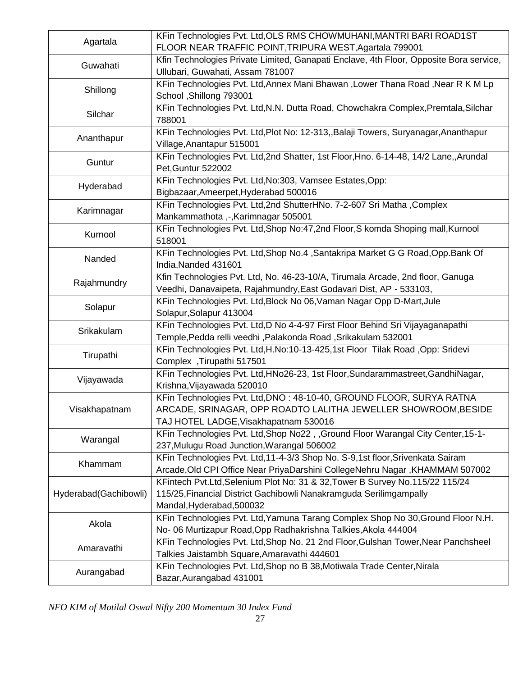| Agartala              | KFin Technologies Pvt. Ltd, OLS RMS CHOWMUHANI, MANTRI BARI ROAD1ST<br>FLOOR NEAR TRAFFIC POINT, TRIPURA WEST, Agartala 799001                                                  |
|-----------------------|---------------------------------------------------------------------------------------------------------------------------------------------------------------------------------|
| Guwahati              | Kfin Technologies Private Limited, Ganapati Enclave, 4th Floor, Opposite Bora service,<br>Ullubari, Guwahati, Assam 781007                                                      |
| Shillong              | KFin Technologies Pvt. Ltd, Annex Mani Bhawan, Lower Thana Road, Near R K M Lp<br>School , Shillong 793001                                                                      |
| Silchar               | KFin Technologies Pvt. Ltd, N.N. Dutta Road, Chowchakra Complex, Premtala, Silchar<br>788001                                                                                    |
| Ananthapur            | KFin Technologies Pvt. Ltd, Plot No: 12-313, Balaji Towers, Suryanagar, Ananthapur<br>Village, Anantapur 515001                                                                 |
| Guntur                | KFin Technologies Pvt. Ltd, 2nd Shatter, 1st Floor, Hno. 6-14-48, 14/2 Lane,, Arundal<br>Pet, Guntur 522002                                                                     |
| Hyderabad             | KFin Technologies Pvt. Ltd, No: 303, Vamsee Estates, Opp:<br>Bigbazaar, Ameerpet, Hyderabad 500016                                                                              |
| Karimnagar            | KFin Technologies Pvt. Ltd, 2nd ShutterHNo. 7-2-607 Sri Matha, Complex<br>Mankammathota,-,Karimnagar 505001                                                                     |
| Kurnool               | KFin Technologies Pvt. Ltd, Shop No: 47, 2nd Floor, S komda Shoping mall, Kurnool<br>518001                                                                                     |
| Nanded                | KFin Technologies Pvt. Ltd, Shop No.4, Santakripa Market G G Road, Opp. Bank Of<br>India, Nanded 431601                                                                         |
| Rajahmundry           | Kfin Technologies Pvt. Ltd, No. 46-23-10/A, Tirumala Arcade, 2nd floor, Ganuga<br>Veedhi, Danavaipeta, Rajahmundry, East Godavari Dist, AP - 533103,                            |
| Solapur               | KFin Technologies Pvt. Ltd, Block No 06, Vaman Nagar Opp D-Mart, Jule<br>Solapur, Solapur 413004                                                                                |
| Srikakulam            | KFin Technologies Pvt. Ltd, D No 4-4-97 First Floor Behind Sri Vijayaganapathi<br>Temple, Pedda relli veedhi, Palakonda Road, Srikakulam 532001                                 |
| Tirupathi             | KFin Technologies Pvt. Ltd, H.No:10-13-425, 1st Floor Tilak Road, Opp: Sridevi<br>Complex, Tirupathi 517501                                                                     |
| Vijayawada            | KFin Technologies Pvt. Ltd, HNo26-23, 1st Floor, Sundarammastreet, GandhiNagar,<br>Krishna, Vijayawada 520010                                                                   |
| Visakhapatnam         | KFin Technologies Pvt. Ltd, DNO: 48-10-40, GROUND FLOOR, SURYA RATNA<br>ARCADE, SRINAGAR, OPP ROADTO LALITHA JEWELLER SHOWROOM, BESIDE<br>TAJ HOTEL LADGE, Visakhapatnam 530016 |
| Warangal              | KFin Technologies Pvt. Ltd, Shop No22, Ground Floor Warangal City Center, 15-1-<br>237, Mulugu Road Junction, Warangal 506002                                                   |
| Khammam               | KFin Technologies Pvt. Ltd, 11-4-3/3 Shop No. S-9, 1st floor, Srivenkata Sairam<br>Arcade, Old CPI Office Near PriyaDarshini CollegeNehru Nagar, KHAMMAM 507002                 |
| Hyderabad(Gachibowli) | KFintech Pvt.Ltd, Selenium Plot No: 31 & 32, Tower B Survey No.115/22 115/24<br>115/25, Financial District Gachibowli Nanakramguda Serilimgampally<br>Mandal, Hyderabad, 500032 |
| Akola                 | KFin Technologies Pvt. Ltd, Yamuna Tarang Complex Shop No 30, Ground Floor N.H.<br>No- 06 Murtizapur Road, Opp Radhakrishna Talkies, Akola 444004                               |
| Amaravathi            | KFin Technologies Pvt. Ltd, Shop No. 21 2nd Floor, Gulshan Tower, Near Panchsheel<br>Talkies Jaistambh Square, Amaravathi 444601                                                |
| Aurangabad            | KFin Technologies Pvt. Ltd, Shop no B 38, Motiwala Trade Center, Nirala<br>Bazar, Aurangabad 431001                                                                             |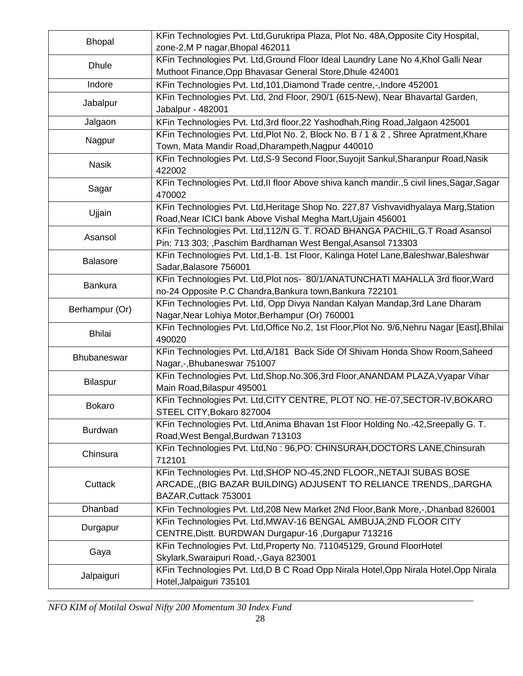| <b>Bhopal</b>   | KFin Technologies Pvt. Ltd, Gurukripa Plaza, Plot No. 48A, Opposite City Hospital,<br>zone-2, M P nagar, Bhopal 462011                                              |
|-----------------|---------------------------------------------------------------------------------------------------------------------------------------------------------------------|
| <b>Dhule</b>    | KFin Technologies Pvt. Ltd, Ground Floor Ideal Laundry Lane No 4, Khol Galli Near<br>Muthoot Finance, Opp Bhavasar General Store, Dhule 424001                      |
| Indore          | KFin Technologies Pvt. Ltd, 101, Diamond Trade centre,-, Indore 452001                                                                                              |
| Jabalpur        | KFin Technologies Pvt. Ltd, 2nd Floor, 290/1 (615-New), Near Bhavartal Garden,<br>Jabalpur - 482001                                                                 |
| Jalgaon         | KFin Technologies Pvt. Ltd, 3rd floor, 22 Yashodhah, Ring Road, Jalgaon 425001                                                                                      |
| Nagpur          | KFin Technologies Pvt. Ltd, Plot No. 2, Block No. B / 1 & 2, Shree Apratment, Khare<br>Town, Mata Mandir Road, Dharampeth, Nagpur 440010                            |
| <b>Nasik</b>    | KFin Technologies Pvt. Ltd, S-9 Second Floor, Suyojit Sankul, Sharanpur Road, Nasik<br>422002                                                                       |
| Sagar           | KFin Technologies Pvt. Ltd, II floor Above shiva kanch mandir., 5 civil lines, Sagar, Sagar<br>470002                                                               |
| Ujjain          | KFin Technologies Pvt. Ltd, Heritage Shop No. 227,87 Vishvavidhyalaya Marg, Station<br>Road, Near ICICI bank Above Vishal Megha Mart, Ujjain 456001                 |
| Asansol         | KFin Technologies Pvt. Ltd,112/N G. T. ROAD BHANGA PACHIL, G.T Road Asansol<br>Pin: 713 303; , Paschim Bardhaman West Bengal, Asansol 713303                        |
| <b>Balasore</b> | KFin Technologies Pvt. Ltd, 1-B. 1st Floor, Kalinga Hotel Lane, Baleshwar, Baleshwar<br>Sadar, Balasore 756001                                                      |
| <b>Bankura</b>  | KFin Technologies Pvt. Ltd, Plot nos- 80/1/ANATUNCHATI MAHALLA 3rd floor, Ward<br>no-24 Opposite P.C Chandra, Bankura town, Bankura 722101                          |
| Berhampur (Or)  | KFin Technologies Pvt. Ltd, Opp Divya Nandan Kalyan Mandap, 3rd Lane Dharam<br>Nagar, Near Lohiya Motor, Berhampur (Or) 760001                                      |
| <b>Bhilai</b>   | KFin Technologies Pvt. Ltd, Office No.2, 1st Floor, Plot No. 9/6, Nehru Nagar [East], Bhilai<br>490020                                                              |
| Bhubaneswar     | KFin Technologies Pvt. Ltd, A/181 Back Side Of Shivam Honda Show Room, Saheed<br>Nagar,-, Bhubaneswar 751007                                                        |
| Bilaspur        | KFin Technologies Pvt. Ltd, Shop. No. 306, 3rd Floor, ANANDAM PLAZA, Vyapar Vihar<br>Main Road, Bilaspur 495001                                                     |
| <b>Bokaro</b>   | KFin Technologies Pvt. Ltd, CITY CENTRE, PLOT NO. HE-07, SECTOR-IV, BOKARO<br>STEEL CITY, Bokaro 827004                                                             |
| <b>Burdwan</b>  | KFin Technologies Pvt. Ltd, Anima Bhavan 1st Floor Holding No.-42, Sreepally G. T.<br>Road, West Bengal, Burdwan 713103                                             |
| Chinsura        | KFin Technologies Pvt. Ltd, No: 96, PO: CHINSURAH, DOCTORS LANE, Chinsurah<br>712101                                                                                |
| Cuttack         | KFin Technologies Pvt. Ltd, SHOP NO-45, 2ND FLOOR, NETAJI SUBAS BOSE<br>ARCADE,, (BIG BAZAR BUILDING) ADJUSENT TO RELIANCE TRENDS,, DARGHA<br>BAZAR, Cuttack 753001 |
| Dhanbad         | KFin Technologies Pvt. Ltd, 208 New Market 2Nd Floor, Bank More,-, Dhanbad 826001                                                                                   |
| Durgapur        | KFin Technologies Pvt. Ltd, MWAV-16 BENGAL AMBUJA, 2ND FLOOR CITY<br>CENTRE, Distt. BURDWAN Durgapur-16, Durgapur 713216                                            |
| Gaya            | KFin Technologies Pvt. Ltd, Property No. 711045129, Ground FloorHotel<br>Skylark, Swaraipuri Road, -, Gaya 823001                                                   |
| Jalpaiguri      | KFin Technologies Pvt. Ltd, D B C Road Opp Nirala Hotel, Opp Nirala Hotel, Opp Nirala<br>Hotel, Jalpaiguri 735101                                                   |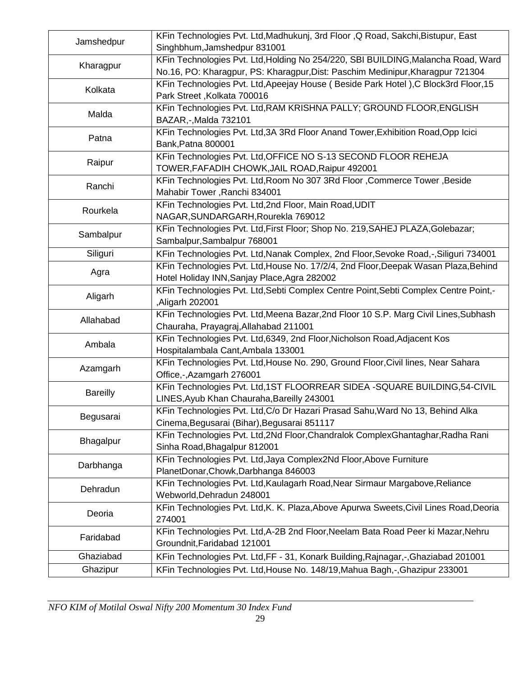| Jamshedpur      | KFin Technologies Pvt. Ltd, Madhukunj, 3rd Floor, Q Road, Sakchi, Bistupur, East<br>Singhbhum, Jamshedpur 831001                                                    |
|-----------------|---------------------------------------------------------------------------------------------------------------------------------------------------------------------|
| Kharagpur       | KFin Technologies Pvt. Ltd, Holding No 254/220, SBI BUILDING, Malancha Road, Ward<br>No.16, PO: Kharagpur, PS: Kharagpur, Dist: Paschim Medinipur, Kharagpur 721304 |
| Kolkata         | KFin Technologies Pvt. Ltd, Apeejay House (Beside Park Hotel), C Block3rd Floor, 15<br>Park Street, Kolkata 700016                                                  |
| Malda           | KFin Technologies Pvt. Ltd, RAM KRISHNA PALLY; GROUND FLOOR, ENGLISH<br>BAZAR,-, Malda 732101                                                                       |
| Patna           | KFin Technologies Pvt. Ltd, 3A 3Rd Floor Anand Tower, Exhibition Road, Opp Icici<br>Bank, Patna 800001                                                              |
| Raipur          | KFin Technologies Pvt. Ltd, OFFICE NO S-13 SECOND FLOOR REHEJA<br>TOWER, FAFADIH CHOWK, JAIL ROAD, Raipur 492001                                                    |
| Ranchi          | KFin Technologies Pvt. Ltd, Room No 307 3Rd Floor, Commerce Tower, Beside<br>Mahabir Tower, Ranchi 834001                                                           |
| Rourkela        | KFin Technologies Pvt. Ltd, 2nd Floor, Main Road, UDIT<br>NAGAR, SUNDARGARH, Rourekla 769012                                                                        |
| Sambalpur       | KFin Technologies Pvt. Ltd, First Floor; Shop No. 219, SAHEJ PLAZA, Golebazar;<br>Sambalpur, Sambalpur 768001                                                       |
| Siliguri        | KFin Technologies Pvt. Ltd, Nanak Complex, 2nd Floor, Sevoke Road, -, Siliguri 734001                                                                               |
| Agra            | KFin Technologies Pvt. Ltd, House No. 17/2/4, 2nd Floor, Deepak Wasan Plaza, Behind<br>Hotel Holiday INN, Sanjay Place, Agra 282002                                 |
| Aligarh         | KFin Technologies Pvt. Ltd, Sebti Complex Centre Point, Sebti Complex Centre Point,-<br>Aligarh 202001,                                                             |
| Allahabad       | KFin Technologies Pvt. Ltd, Meena Bazar, 2nd Floor 10 S.P. Marg Civil Lines, Subhash<br>Chauraha, Prayagraj, Allahabad 211001                                       |
| Ambala          | KFin Technologies Pvt. Ltd,6349, 2nd Floor, Nicholson Road, Adjacent Kos<br>Hospitalambala Cant, Ambala 133001                                                      |
| Azamgarh        | KFin Technologies Pvt. Ltd, House No. 290, Ground Floor, Civil lines, Near Sahara<br>Office,-,Azamgarh 276001                                                       |
| <b>Bareilly</b> | KFin Technologies Pvt. Ltd, 1ST FLOORREAR SIDEA -SQUARE BUILDING, 54-CIVIL<br>LINES, Ayub Khan Chauraha, Bareilly 243001                                            |
| Begusarai       | KFin Technologies Pvt. Ltd, C/o Dr Hazari Prasad Sahu, Ward No 13, Behind Alka<br>Cinema, Begusarai (Bihar), Begusarai 851117                                       |
| Bhagalpur       | KFin Technologies Pvt. Ltd, 2Nd Floor, Chandralok Complex Ghantaghar, Radha Rani<br>Sinha Road, Bhagalpur 812001                                                    |
| Darbhanga       | KFin Technologies Pvt. Ltd, Jaya Complex2Nd Floor, Above Furniture<br>PlanetDonar, Chowk, Darbhanga 846003                                                          |
| Dehradun        | KFin Technologies Pvt. Ltd, Kaulagarh Road, Near Sirmaur Margabove, Reliance<br>Webworld, Dehradun 248001                                                           |
| Deoria          | KFin Technologies Pvt. Ltd, K. K. Plaza, Above Apurwa Sweets, Civil Lines Road, Deoria<br>274001                                                                    |
| Faridabad       | KFin Technologies Pvt. Ltd, A-2B 2nd Floor, Neelam Bata Road Peer ki Mazar, Nehru<br>Groundnit, Faridabad 121001                                                    |
| Ghaziabad       | KFin Technologies Pvt. Ltd, FF - 31, Konark Building, Rajnagar, -, Ghaziabad 201001                                                                                 |
| Ghazipur        | KFin Technologies Pvt. Ltd, House No. 148/19, Mahua Bagh,-, Ghazipur 233001                                                                                         |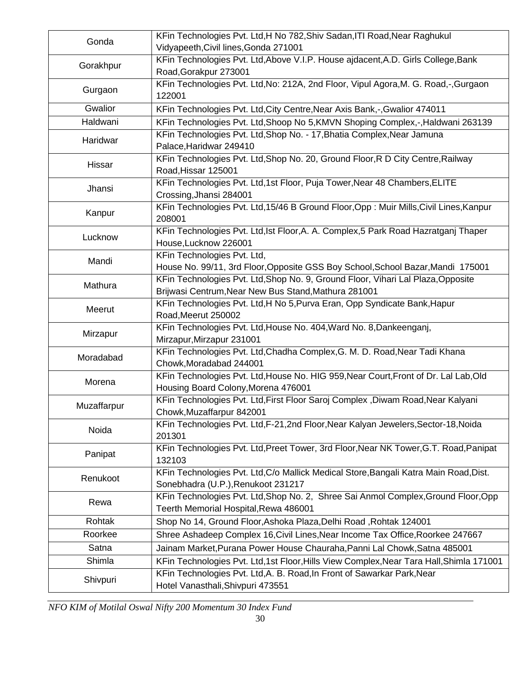| Gonda       | KFin Technologies Pvt. Ltd, H No 782, Shiv Sadan, ITI Road, Near Raghukul<br>Vidyapeeth, Civil lines, Gonda 271001                       |
|-------------|------------------------------------------------------------------------------------------------------------------------------------------|
| Gorakhpur   | KFin Technologies Pvt. Ltd, Above V.I.P. House ajdacent, A.D. Girls College, Bank<br>Road, Gorakpur 273001                               |
| Gurgaon     | KFin Technologies Pvt. Ltd, No: 212A, 2nd Floor, Vipul Agora, M. G. Road,-, Gurgaon<br>122001                                            |
| Gwalior     | KFin Technologies Pvt. Ltd, City Centre, Near Axis Bank, -, Gwalior 474011                                                               |
| Haldwani    | KFin Technologies Pvt. Ltd, Shoop No 5, KMVN Shoping Complex, -, Haldwani 263139                                                         |
| Haridwar    | KFin Technologies Pvt. Ltd, Shop No. - 17, Bhatia Complex, Near Jamuna<br>Palace, Haridwar 249410                                        |
| Hissar      | KFin Technologies Pvt. Ltd, Shop No. 20, Ground Floor, R D City Centre, Railway<br>Road, Hissar 125001                                   |
| Jhansi      | KFin Technologies Pvt. Ltd, 1st Floor, Puja Tower, Near 48 Chambers, ELITE<br>Crossing, Jhansi 284001                                    |
| Kanpur      | KFin Technologies Pvt. Ltd, 15/46 B Ground Floor, Opp: Muir Mills, Civil Lines, Kanpur<br>208001                                         |
| Lucknow     | KFin Technologies Pvt. Ltd, Ist Floor, A. A. Complex, 5 Park Road Hazratganj Thaper<br>House, Lucknow 226001                             |
| Mandi       | KFin Technologies Pvt. Ltd,<br>House No. 99/11, 3rd Floor, Opposite GSS Boy School, School Bazar, Mandi 175001                           |
| Mathura     | KFin Technologies Pvt. Ltd, Shop No. 9, Ground Floor, Vihari Lal Plaza, Opposite<br>Brijwasi Centrum, Near New Bus Stand, Mathura 281001 |
| Meerut      | KFin Technologies Pvt. Ltd, H No 5, Purva Eran, Opp Syndicate Bank, Hapur<br>Road, Meerut 250002                                         |
| Mirzapur    | KFin Technologies Pvt. Ltd, House No. 404, Ward No. 8, Dankeenganj,<br>Mirzapur, Mirzapur 231001                                         |
| Moradabad   | KFin Technologies Pvt. Ltd, Chadha Complex, G. M. D. Road, Near Tadi Khana<br>Chowk, Moradabad 244001                                    |
| Morena      | KFin Technologies Pvt. Ltd, House No. HIG 959, Near Court, Front of Dr. Lal Lab, Old<br>Housing Board Colony, Morena 476001              |
| Muzaffarpur | KFin Technologies Pvt. Ltd, First Floor Saroj Complex, Diwam Road, Near Kalyani<br>Chowk, Muzaffarpur 842001                             |
| Noida       | KFin Technologies Pvt. Ltd, F-21, 2nd Floor, Near Kalyan Jewelers, Sector-18, Noida<br>201301                                            |
| Panipat     | KFin Technologies Pvt. Ltd, Preet Tower, 3rd Floor, Near NK Tower, G.T. Road, Panipat<br>132103                                          |
| Renukoot    | KFin Technologies Pvt. Ltd, C/o Mallick Medical Store, Bangali Katra Main Road, Dist.<br>Sonebhadra (U.P.), Renukoot 231217              |
| Rewa        | KFin Technologies Pvt. Ltd, Shop No. 2, Shree Sai Anmol Complex, Ground Floor, Opp<br>Teerth Memorial Hospital, Rewa 486001              |
| Rohtak      | Shop No 14, Ground Floor, Ashoka Plaza, Delhi Road, Rohtak 124001                                                                        |
| Roorkee     | Shree Ashadeep Complex 16, Civil Lines, Near Income Tax Office, Roorkee 247667                                                           |
| Satna       | Jainam Market, Purana Power House Chauraha, Panni Lal Chowk, Satna 485001                                                                |
| Shimla      | KFin Technologies Pvt. Ltd,1st Floor, Hills View Complex, Near Tara Hall, Shimla 171001                                                  |
| Shivpuri    | KFin Technologies Pvt. Ltd, A. B. Road, In Front of Sawarkar Park, Near<br>Hotel Vanasthali, Shivpuri 473551                             |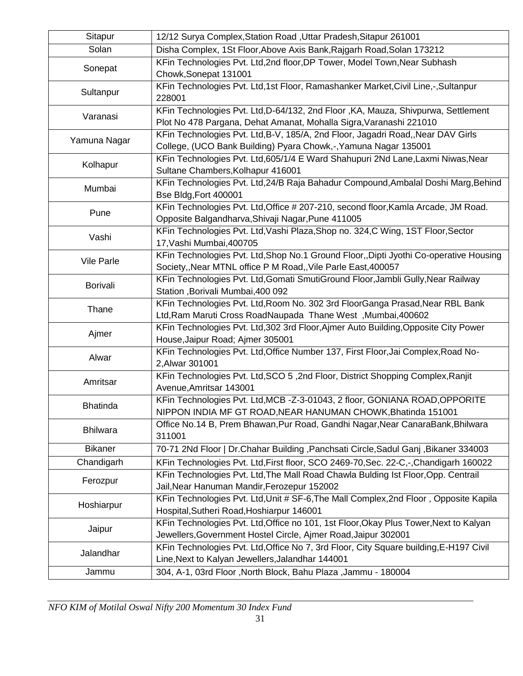| Sitapur           | 12/12 Surya Complex, Station Road, Uttar Pradesh, Sitapur 261001                                                                                        |
|-------------------|---------------------------------------------------------------------------------------------------------------------------------------------------------|
| Solan             | Disha Complex, 1St Floor, Above Axis Bank, Rajgarh Road, Solan 173212                                                                                   |
| Sonepat           | KFin Technologies Pvt. Ltd, 2nd floor, DP Tower, Model Town, Near Subhash<br>Chowk, Sonepat 131001                                                      |
| Sultanpur         | KFin Technologies Pvt. Ltd,1st Floor, Ramashanker Market, Civil Line,-, Sultanpur<br>228001                                                             |
| Varanasi          | KFin Technologies Pvt. Ltd, D-64/132, 2nd Floor, KA, Mauza, Shivpurwa, Settlement<br>Plot No 478 Pargana, Dehat Amanat, Mohalla Sigra, Varanashi 221010 |
| Yamuna Nagar      | KFin Technologies Pvt. Ltd, B-V, 185/A, 2nd Floor, Jagadri Road, Near DAV Girls<br>College, (UCO Bank Building) Pyara Chowk,-, Yamuna Nagar 135001      |
| Kolhapur          | KFin Technologies Pvt. Ltd, 605/1/4 E Ward Shahupuri 2Nd Lane, Laxmi Niwas, Near<br>Sultane Chambers, Kolhapur 416001                                   |
| Mumbai            | KFin Technologies Pvt. Ltd, 24/B Raja Bahadur Compound, Ambalal Doshi Marg, Behind<br>Bse Bldg, Fort 400001                                             |
| Pune              | KFin Technologies Pvt. Ltd, Office # 207-210, second floor, Kamla Arcade, JM Road.<br>Opposite Balgandharva, Shivaji Nagar, Pune 411005                 |
| Vashi             | KFin Technologies Pvt. Ltd, Vashi Plaza, Shop no. 324, C Wing, 1ST Floor, Sector<br>17, Vashi Mumbai, 400705                                            |
| <b>Vile Parle</b> | KFin Technologies Pvt. Ltd, Shop No.1 Ground Floor,, Dipti Jyothi Co-operative Housing<br>Society,, Near MTNL office P M Road,, Vile Parle East, 400057 |
| <b>Borivali</b>   | KFin Technologies Pvt. Ltd, Gomati SmutiGround Floor, Jambli Gully, Near Railway<br>Station , Borivali Mumbai, 400 092                                  |
| Thane             | KFin Technologies Pvt. Ltd, Room No. 302 3rd FloorGanga Prasad, Near RBL Bank<br>Ltd, Ram Maruti Cross RoadNaupada Thane West, Mumbai, 400602           |
| Ajmer             | KFin Technologies Pvt. Ltd, 302 3rd Floor, Ajmer Auto Building, Opposite City Power<br>House, Jaipur Road; Ajmer 305001                                 |
| Alwar             | KFin Technologies Pvt. Ltd, Office Number 137, First Floor, Jai Complex, Road No-<br>2, Alwar 301001                                                    |
| Amritsar          | KFin Technologies Pvt. Ltd, SCO 5, 2nd Floor, District Shopping Complex, Ranjit<br>Avenue, Amritsar 143001                                              |
| <b>Bhatinda</b>   | KFin Technologies Pvt. Ltd, MCB -Z-3-01043, 2 floor, GONIANA ROAD, OPPORITE<br>NIPPON INDIA MF GT ROAD, NEAR HANUMAN CHOWK, Bhatinda 151001             |
| <b>Bhilwara</b>   | Office No.14 B, Prem Bhawan, Pur Road, Gandhi Nagar, Near CanaraBank, Bhilwara<br>311001                                                                |
| <b>Bikaner</b>    | 70-71 2Nd Floor   Dr.Chahar Building , Panchsati Circle, Sadul Ganj , Bikaner 334003                                                                    |
| Chandigarh        | KFin Technologies Pvt. Ltd, First floor, SCO 2469-70, Sec. 22-C,-, Chandigarh 160022                                                                    |
| Ferozpur          | KFin Technologies Pvt. Ltd, The Mall Road Chawla Bulding Ist Floor, Opp. Centrail<br>Jail, Near Hanuman Mandir, Ferozepur 152002                        |
| Hoshiarpur        | KFin Technologies Pvt. Ltd, Unit # SF-6, The Mall Complex, 2nd Floor, Opposite Kapila<br>Hospital, Sutheri Road, Hoshiarpur 146001                      |
| Jaipur            | KFin Technologies Pvt. Ltd, Office no 101, 1st Floor, Okay Plus Tower, Next to Kalyan<br>Jewellers, Government Hostel Circle, Ajmer Road, Jaipur 302001 |
| Jalandhar         | KFin Technologies Pvt. Ltd, Office No 7, 3rd Floor, City Square building, E-H197 Civil<br>Line, Next to Kalyan Jewellers, Jalandhar 144001              |
| Jammu             | 304, A-1, 03rd Floor, North Block, Bahu Plaza, Jammu - 180004                                                                                           |